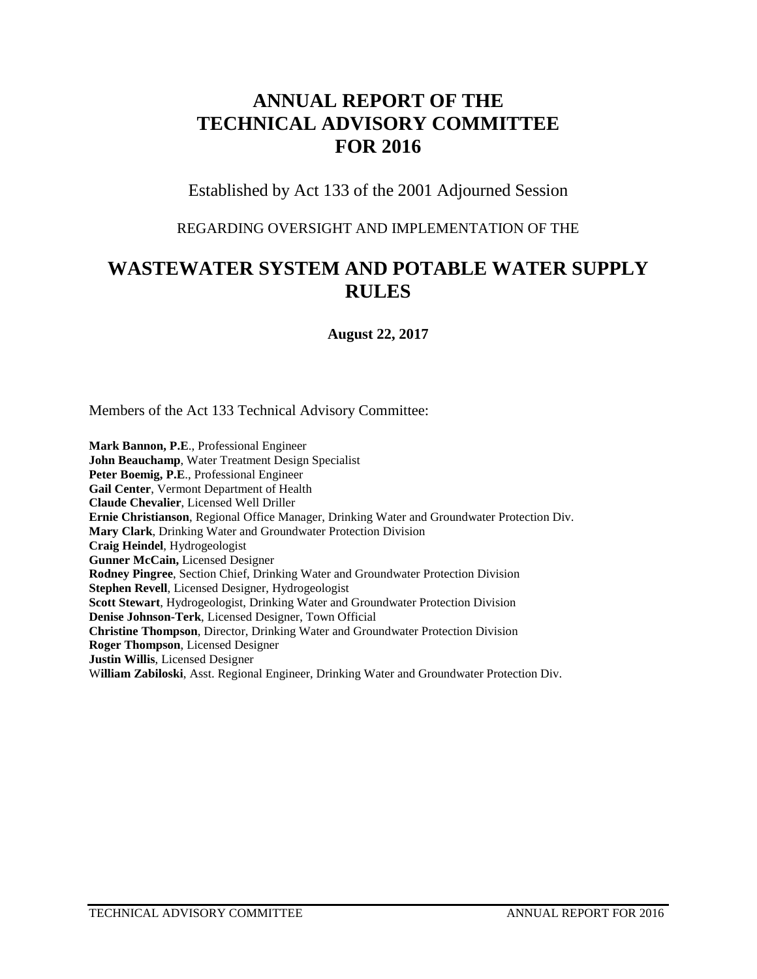# **ANNUAL REPORT OF THE TECHNICAL ADVISORY COMMITTEE FOR 2016**

Established by Act 133 of the 2001 Adjourned Session

#### REGARDING OVERSIGHT AND IMPLEMENTATION OF THE

# **WASTEWATER SYSTEM AND POTABLE WATER SUPPLY RULES**

**August 22, 2017**

Members of the Act 133 Technical Advisory Committee:

**Mark Bannon, P.E**., Professional Engineer **John Beauchamp**, Water Treatment Design Specialist **Peter Boemig, P.E**., Professional Engineer **Gail Center**, Vermont Department of Health **Claude Chevalier**, Licensed Well Driller **Ernie Christianson**, Regional Office Manager, Drinking Water and Groundwater Protection Div. **Mary Clark**, Drinking Water and Groundwater Protection Division **Craig Heindel**, Hydrogeologist **Gunner McCain,** Licensed Designer **Rodney Pingree**, Section Chief, Drinking Water and Groundwater Protection Division **Stephen Revell**, Licensed Designer, Hydrogeologist **Scott Stewart**, Hydrogeologist, Drinking Water and Groundwater Protection Division **Denise Johnson-Terk**, Licensed Designer, Town Official **Christine Thompson**, Director, Drinking Water and Groundwater Protection Division **Roger Thompson**, Licensed Designer **Justin Willis**, Licensed Designer W**illiam Zabiloski**, Asst. Regional Engineer, Drinking Water and Groundwater Protection Div.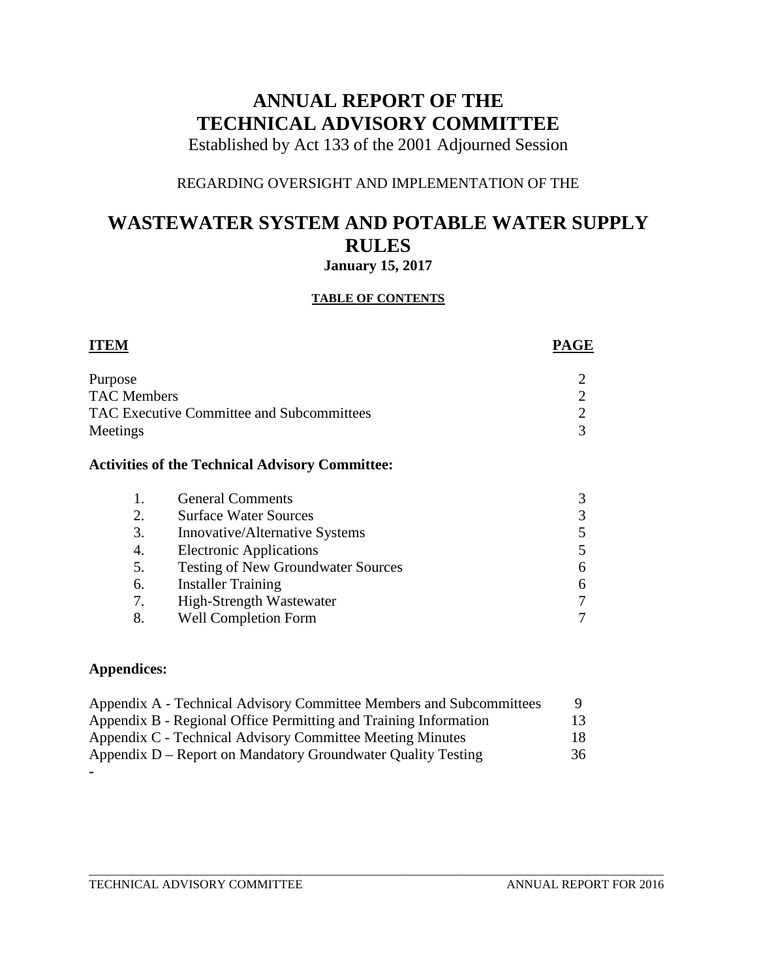# **ANNUAL REPORT OF THE TECHNICAL ADVISORY COMMITTEE**

Established by Act 133 of the 2001 Adjourned Session

### REGARDING OVERSIGHT AND IMPLEMENTATION OF THE

## **WASTEWATER SYSTEM AND POTABLE WATER SUPPLY RULES January 15, 2017**

#### **TABLE OF CONTENTS**

| Purpose            |                                                        |  |
|--------------------|--------------------------------------------------------|--|
| <b>TAC Members</b> |                                                        |  |
|                    | TAC Executive Committee and Subcommittees              |  |
| Meetings           |                                                        |  |
|                    | <b>Activities of the Technical Advisory Committee:</b> |  |
| 1.                 | <b>General Comments</b>                                |  |
| 2.                 | <b>Surface Water Sources</b>                           |  |
| 3.                 | Innovative/Alternative Systems                         |  |
| 4.                 | <b>Electronic Applications</b>                         |  |
| 5.                 | <b>Testing of New Groundwater Sources</b>              |  |

- 6. Installer Training 6
- 7. High-Strength Wastewater 7
- 8. Well Completion Form 7

### **Appendices:**

| Appendix A - Technical Advisory Committee Members and Subcommittees | <sup>Q</sup> |  |
|---------------------------------------------------------------------|--------------|--|
| Appendix B - Regional Office Permitting and Training Information    | 13           |  |
| Appendix C - Technical Advisory Committee Meeting Minutes           | 18           |  |
| Appendix D – Report on Mandatory Groundwater Quality Testing        | 36           |  |
|                                                                     |              |  |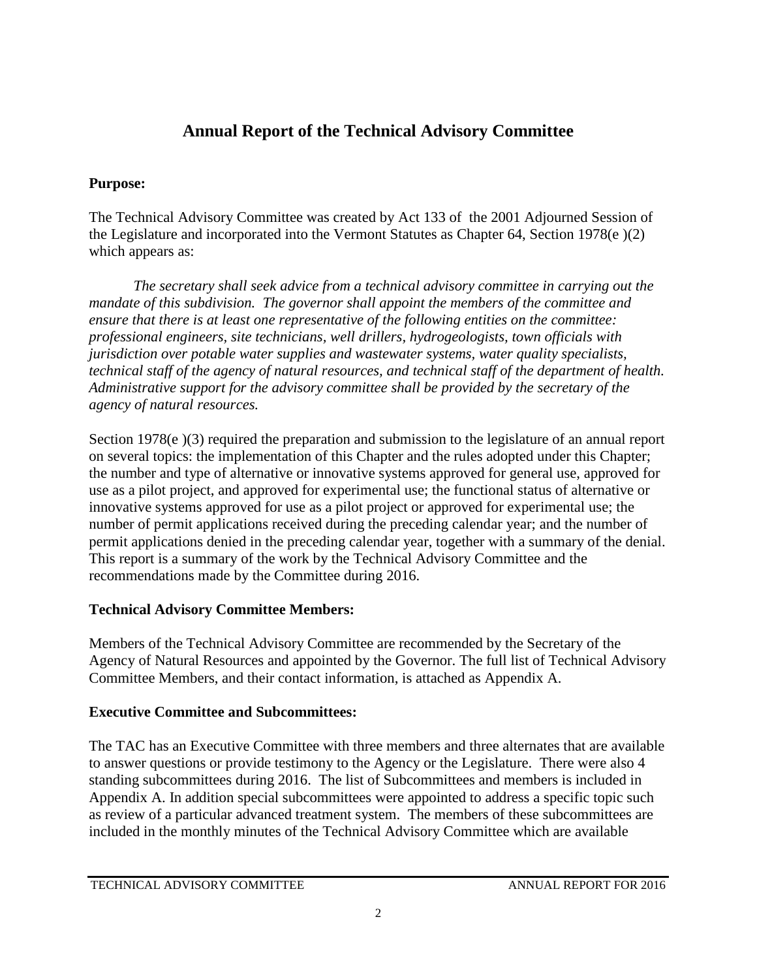# **Annual Report of the Technical Advisory Committee**

### **Purpose:**

The Technical Advisory Committee was created by Act 133 of the 2001 Adjourned Session of the Legislature and incorporated into the Vermont Statutes as Chapter 64, Section 1978(e )(2) which appears as:

*The secretary shall seek advice from a technical advisory committee in carrying out the mandate of this subdivision. The governor shall appoint the members of the committee and ensure that there is at least one representative of the following entities on the committee: professional engineers, site technicians, well drillers, hydrogeologists, town officials with jurisdiction over potable water supplies and wastewater systems, water quality specialists, technical staff of the agency of natural resources, and technical staff of the department of health. Administrative support for the advisory committee shall be provided by the secretary of the agency of natural resources.* 

Section 1978(e )(3) required the preparation and submission to the legislature of an annual report on several topics: the implementation of this Chapter and the rules adopted under this Chapter; the number and type of alternative or innovative systems approved for general use, approved for use as a pilot project, and approved for experimental use; the functional status of alternative or innovative systems approved for use as a pilot project or approved for experimental use; the number of permit applications received during the preceding calendar year; and the number of permit applications denied in the preceding calendar year, together with a summary of the denial. This report is a summary of the work by the Technical Advisory Committee and the recommendations made by the Committee during 2016.

### **Technical Advisory Committee Members:**

Members of the Technical Advisory Committee are recommended by the Secretary of the Agency of Natural Resources and appointed by the Governor. The full list of Technical Advisory Committee Members, and their contact information, is attached as Appendix A.

### **Executive Committee and Subcommittees:**

The TAC has an Executive Committee with three members and three alternates that are available to answer questions or provide testimony to the Agency or the Legislature. There were also 4 standing subcommittees during 2016. The list of Subcommittees and members is included in Appendix A. In addition special subcommittees were appointed to address a specific topic such as review of a particular advanced treatment system. The members of these subcommittees are included in the monthly minutes of the Technical Advisory Committee which are available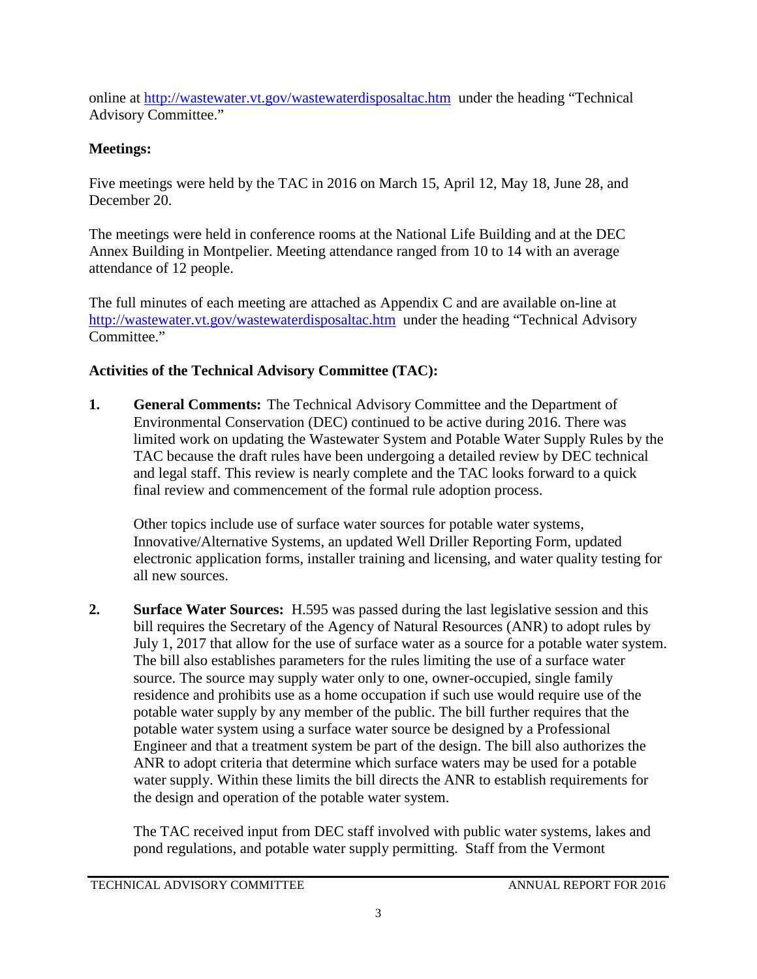online at<http://wastewater.vt.gov/wastewaterdisposaltac.htm>under the heading "Technical Advisory Committee."

### **Meetings:**

Five meetings were held by the TAC in 2016 on March 15, April 12, May 18, June 28, and December 20.

The meetings were held in conference rooms at the National Life Building and at the DEC Annex Building in Montpelier. Meeting attendance ranged from 10 to 14 with an average attendance of 12 people.

The full minutes of each meeting are attached as Appendix C and are available on-line at <http://wastewater.vt.gov/wastewaterdisposaltac.htm> under the heading "Technical Advisory Committee."

### **Activities of the Technical Advisory Committee (TAC):**

**1. General Comments:** The Technical Advisory Committee and the Department of Environmental Conservation (DEC) continued to be active during 2016. There was limited work on updating the Wastewater System and Potable Water Supply Rules by the TAC because the draft rules have been undergoing a detailed review by DEC technical and legal staff. This review is nearly complete and the TAC looks forward to a quick final review and commencement of the formal rule adoption process.

Other topics include use of surface water sources for potable water systems, Innovative/Alternative Systems, an updated Well Driller Reporting Form, updated electronic application forms, installer training and licensing, and water quality testing for all new sources.

**2. Surface Water Sources:** H.595 was passed during the last legislative session and this bill requires the Secretary of the Agency of Natural Resources (ANR) to adopt rules by July 1, 2017 that allow for the use of surface water as a source for a potable water system. The bill also establishes parameters for the rules limiting the use of a surface water source. The source may supply water only to one, owner-occupied, single family residence and prohibits use as a home occupation if such use would require use of the potable water supply by any member of the public. The bill further requires that the potable water system using a surface water source be designed by a Professional Engineer and that a treatment system be part of the design. The bill also authorizes the ANR to adopt criteria that determine which surface waters may be used for a potable water supply. Within these limits the bill directs the ANR to establish requirements for the design and operation of the potable water system.

The TAC received input from DEC staff involved with public water systems, lakes and pond regulations, and potable water supply permitting. Staff from the Vermont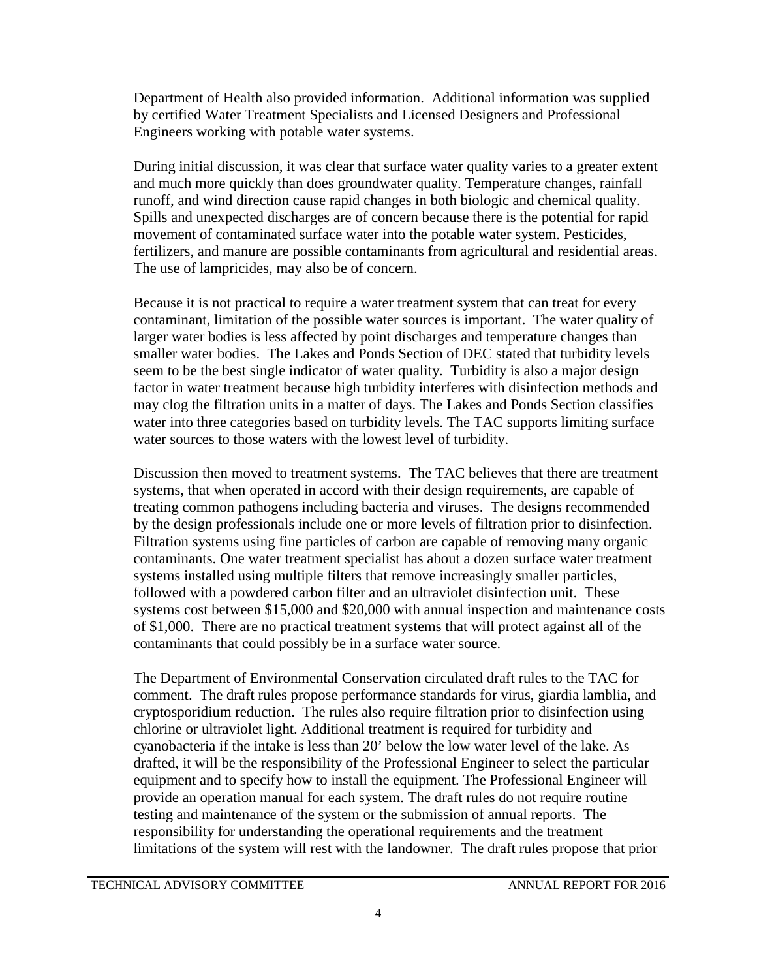Department of Health also provided information. Additional information was supplied by certified Water Treatment Specialists and Licensed Designers and Professional Engineers working with potable water systems.

During initial discussion, it was clear that surface water quality varies to a greater extent and much more quickly than does groundwater quality. Temperature changes, rainfall runoff, and wind direction cause rapid changes in both biologic and chemical quality. Spills and unexpected discharges are of concern because there is the potential for rapid movement of contaminated surface water into the potable water system. Pesticides, fertilizers, and manure are possible contaminants from agricultural and residential areas. The use of lampricides, may also be of concern.

Because it is not practical to require a water treatment system that can treat for every contaminant, limitation of the possible water sources is important. The water quality of larger water bodies is less affected by point discharges and temperature changes than smaller water bodies. The Lakes and Ponds Section of DEC stated that turbidity levels seem to be the best single indicator of water quality. Turbidity is also a major design factor in water treatment because high turbidity interferes with disinfection methods and may clog the filtration units in a matter of days. The Lakes and Ponds Section classifies water into three categories based on turbidity levels. The TAC supports limiting surface water sources to those waters with the lowest level of turbidity.

Discussion then moved to treatment systems. The TAC believes that there are treatment systems, that when operated in accord with their design requirements, are capable of treating common pathogens including bacteria and viruses. The designs recommended by the design professionals include one or more levels of filtration prior to disinfection. Filtration systems using fine particles of carbon are capable of removing many organic contaminants. One water treatment specialist has about a dozen surface water treatment systems installed using multiple filters that remove increasingly smaller particles, followed with a powdered carbon filter and an ultraviolet disinfection unit. These systems cost between \$15,000 and \$20,000 with annual inspection and maintenance costs of \$1,000. There are no practical treatment systems that will protect against all of the contaminants that could possibly be in a surface water source.

The Department of Environmental Conservation circulated draft rules to the TAC for comment. The draft rules propose performance standards for virus, giardia lamblia, and cryptosporidium reduction. The rules also require filtration prior to disinfection using chlorine or ultraviolet light. Additional treatment is required for turbidity and cyanobacteria if the intake is less than 20' below the low water level of the lake. As drafted, it will be the responsibility of the Professional Engineer to select the particular equipment and to specify how to install the equipment. The Professional Engineer will provide an operation manual for each system. The draft rules do not require routine testing and maintenance of the system or the submission of annual reports. The responsibility for understanding the operational requirements and the treatment limitations of the system will rest with the landowner. The draft rules propose that prior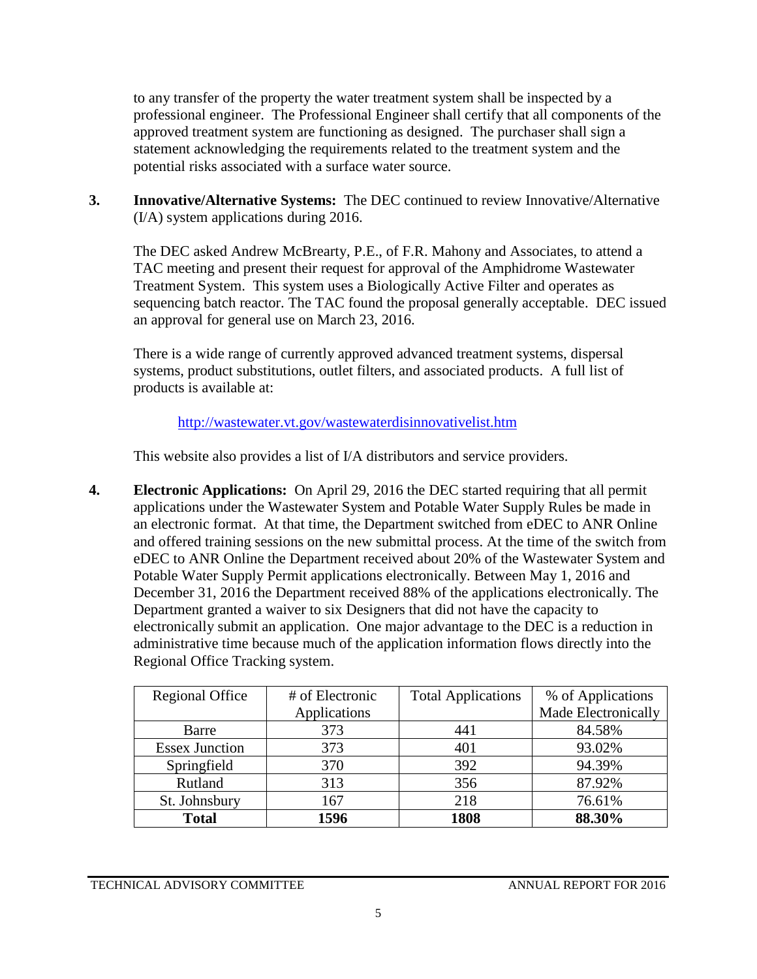to any transfer of the property the water treatment system shall be inspected by a professional engineer. The Professional Engineer shall certify that all components of the approved treatment system are functioning as designed. The purchaser shall sign a statement acknowledging the requirements related to the treatment system and the potential risks associated with a surface water source.

**3. Innovative/Alternative Systems:** The DEC continued to review Innovative/Alternative (I/A) system applications during 2016.

The DEC asked Andrew McBrearty, P.E., of F.R. Mahony and Associates, to attend a TAC meeting and present their request for approval of the Amphidrome Wastewater Treatment System. This system uses a Biologically Active Filter and operates as sequencing batch reactor. The TAC found the proposal generally acceptable. DEC issued an approval for general use on March 23, 2016.

There is a wide range of currently approved advanced treatment systems, dispersal systems, product substitutions, outlet filters, and associated products. A full list of products is available at:

<http://wastewater.vt.gov/wastewaterdisinnovativelist.htm>

This website also provides a list of I/A distributors and service providers.

**4. Electronic Applications:** On April 29, 2016 the DEC started requiring that all permit applications under the Wastewater System and Potable Water Supply Rules be made in an electronic format. At that time, the Department switched from eDEC to ANR Online and offered training sessions on the new submittal process. At the time of the switch from eDEC to ANR Online the Department received about 20% of the Wastewater System and Potable Water Supply Permit applications electronically. Between May 1, 2016 and December 31, 2016 the Department received 88% of the applications electronically. The Department granted a waiver to six Designers that did not have the capacity to electronically submit an application. One major advantage to the DEC is a reduction in administrative time because much of the application information flows directly into the Regional Office Tracking system.

| <b>Regional Office</b> | # of Electronic | <b>Total Applications</b> | % of Applications   |
|------------------------|-----------------|---------------------------|---------------------|
|                        | Applications    |                           | Made Electronically |
| Barre                  | 373             | 441                       | 84.58%              |
| <b>Essex Junction</b>  | 373             | 401                       | 93.02%              |
| Springfield            | 370             | 392                       | 94.39%              |
| Rutland                | 313             | 356                       | 87.92%              |
| St. Johnsbury          | 167             | 218                       | 76.61%              |
| <b>Total</b>           | 1596            | 1808                      | 88.30%              |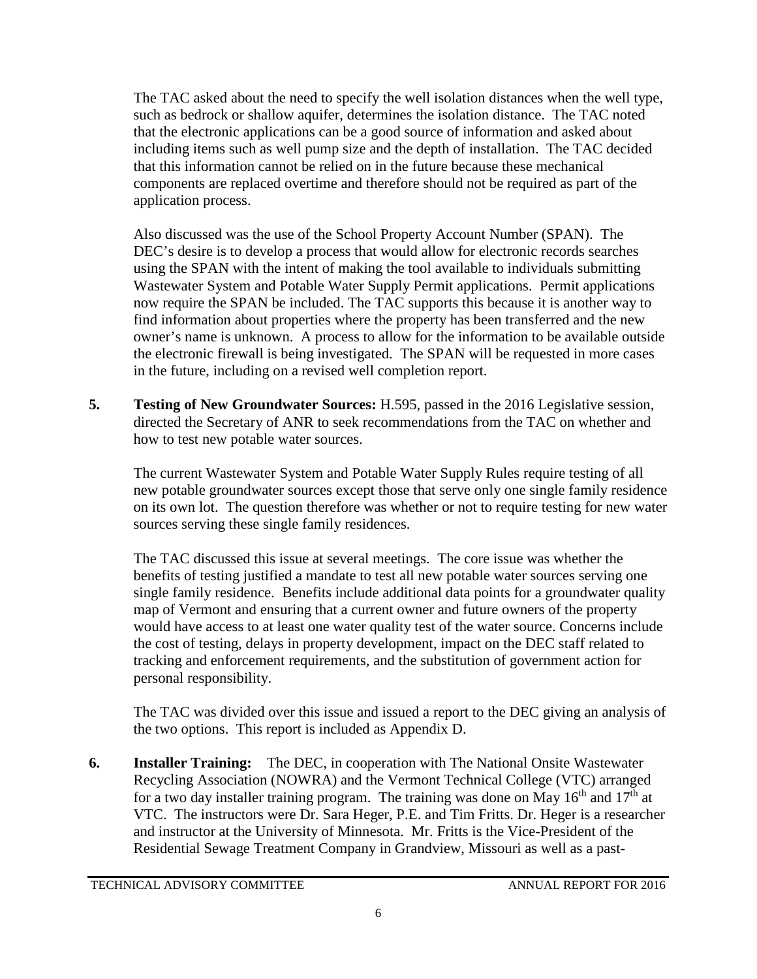The TAC asked about the need to specify the well isolation distances when the well type, such as bedrock or shallow aquifer, determines the isolation distance. The TAC noted that the electronic applications can be a good source of information and asked about including items such as well pump size and the depth of installation. The TAC decided that this information cannot be relied on in the future because these mechanical components are replaced overtime and therefore should not be required as part of the application process.

Also discussed was the use of the School Property Account Number (SPAN). The DEC's desire is to develop a process that would allow for electronic records searches using the SPAN with the intent of making the tool available to individuals submitting Wastewater System and Potable Water Supply Permit applications. Permit applications now require the SPAN be included. The TAC supports this because it is another way to find information about properties where the property has been transferred and the new owner's name is unknown. A process to allow for the information to be available outside the electronic firewall is being investigated. The SPAN will be requested in more cases in the future, including on a revised well completion report.

**5. Testing of New Groundwater Sources:** H.595, passed in the 2016 Legislative session, directed the Secretary of ANR to seek recommendations from the TAC on whether and how to test new potable water sources.

The current Wastewater System and Potable Water Supply Rules require testing of all new potable groundwater sources except those that serve only one single family residence on its own lot. The question therefore was whether or not to require testing for new water sources serving these single family residences.

The TAC discussed this issue at several meetings. The core issue was whether the benefits of testing justified a mandate to test all new potable water sources serving one single family residence. Benefits include additional data points for a groundwater quality map of Vermont and ensuring that a current owner and future owners of the property would have access to at least one water quality test of the water source. Concerns include the cost of testing, delays in property development, impact on the DEC staff related to tracking and enforcement requirements, and the substitution of government action for personal responsibility.

The TAC was divided over this issue and issued a report to the DEC giving an analysis of the two options. This report is included as Appendix D.

**6. Installer Training:** The DEC, in cooperation with The National Onsite Wastewater Recycling Association (NOWRA) and the Vermont Technical College (VTC) arranged for a two day installer training program. The training was done on May  $16<sup>th</sup>$  and  $17<sup>th</sup>$  at VTC. The instructors were Dr. Sara Heger, P.E. and Tim Fritts. Dr. Heger is a researcher and instructor at the University of Minnesota. Mr. Fritts is the Vice-President of the Residential Sewage Treatment Company in Grandview, Missouri as well as a past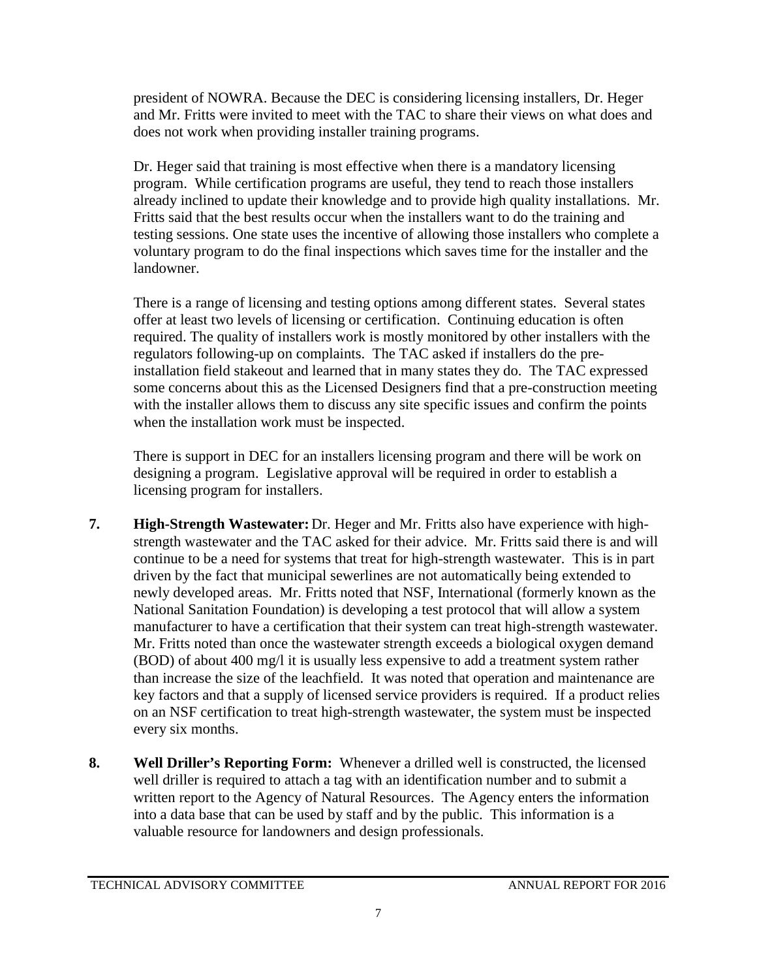president of NOWRA. Because the DEC is considering licensing installers, Dr. Heger and Mr. Fritts were invited to meet with the TAC to share their views on what does and does not work when providing installer training programs.

Dr. Heger said that training is most effective when there is a mandatory licensing program. While certification programs are useful, they tend to reach those installers already inclined to update their knowledge and to provide high quality installations. Mr. Fritts said that the best results occur when the installers want to do the training and testing sessions. One state uses the incentive of allowing those installers who complete a voluntary program to do the final inspections which saves time for the installer and the landowner.

There is a range of licensing and testing options among different states. Several states offer at least two levels of licensing or certification. Continuing education is often required. The quality of installers work is mostly monitored by other installers with the regulators following-up on complaints. The TAC asked if installers do the preinstallation field stakeout and learned that in many states they do. The TAC expressed some concerns about this as the Licensed Designers find that a pre-construction meeting with the installer allows them to discuss any site specific issues and confirm the points when the installation work must be inspected.

There is support in DEC for an installers licensing program and there will be work on designing a program. Legislative approval will be required in order to establish a licensing program for installers.

- **7. High-Strength Wastewater:** Dr. Heger and Mr. Fritts also have experience with highstrength wastewater and the TAC asked for their advice. Mr. Fritts said there is and will continue to be a need for systems that treat for high-strength wastewater. This is in part driven by the fact that municipal sewerlines are not automatically being extended to newly developed areas. Mr. Fritts noted that NSF, International (formerly known as the National Sanitation Foundation) is developing a test protocol that will allow a system manufacturer to have a certification that their system can treat high-strength wastewater. Mr. Fritts noted than once the wastewater strength exceeds a biological oxygen demand (BOD) of about 400 mg/l it is usually less expensive to add a treatment system rather than increase the size of the leachfield. It was noted that operation and maintenance are key factors and that a supply of licensed service providers is required. If a product relies on an NSF certification to treat high-strength wastewater, the system must be inspected every six months.
- **8. Well Driller's Reporting Form:** Whenever a drilled well is constructed, the licensed well driller is required to attach a tag with an identification number and to submit a written report to the Agency of Natural Resources. The Agency enters the information into a data base that can be used by staff and by the public. This information is a valuable resource for landowners and design professionals.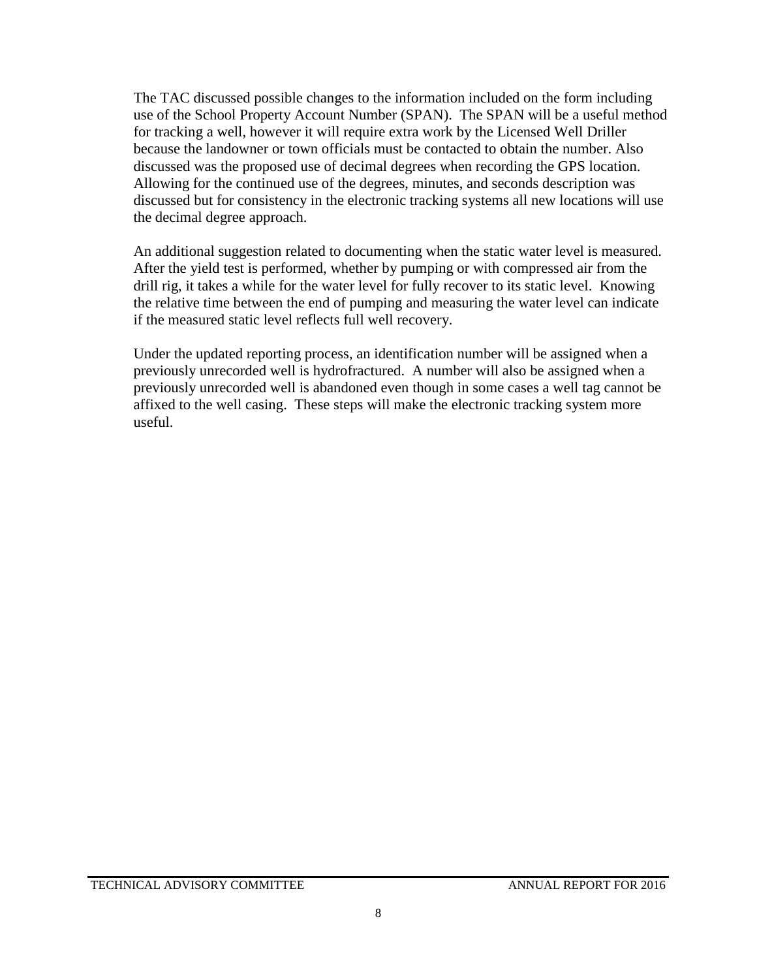The TAC discussed possible changes to the information included on the form including use of the School Property Account Number (SPAN). The SPAN will be a useful method for tracking a well, however it will require extra work by the Licensed Well Driller because the landowner or town officials must be contacted to obtain the number. Also discussed was the proposed use of decimal degrees when recording the GPS location. Allowing for the continued use of the degrees, minutes, and seconds description was discussed but for consistency in the electronic tracking systems all new locations will use the decimal degree approach.

An additional suggestion related to documenting when the static water level is measured. After the yield test is performed, whether by pumping or with compressed air from the drill rig, it takes a while for the water level for fully recover to its static level. Knowing the relative time between the end of pumping and measuring the water level can indicate if the measured static level reflects full well recovery.

Under the updated reporting process, an identification number will be assigned when a previously unrecorded well is hydrofractured. A number will also be assigned when a previously unrecorded well is abandoned even though in some cases a well tag cannot be affixed to the well casing. These steps will make the electronic tracking system more useful.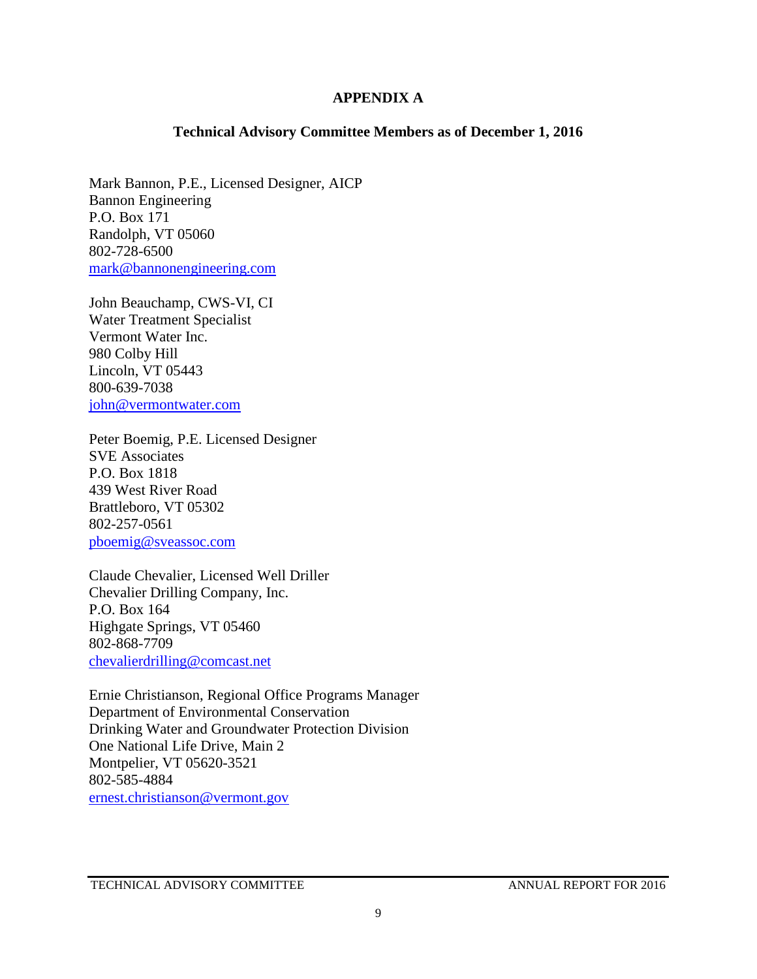#### **APPENDIX A**

#### **Technical Advisory Committee Members as of December 1, 2016**

Mark Bannon, P.E., Licensed Designer, AICP Bannon Engineering P.O. Box 171 Randolph, VT 05060 802-728-6500 [mark@bannonengineering.com](mailto:mark@bannonengineering.com)

John Beauchamp, CWS-VI, CI Water Treatment Specialist Vermont Water Inc. 980 Colby Hill Lincoln, VT 05443 800-639-7038 [john@vermontwater.com](mailto:john@vermontwater.com)

Peter Boemig, P.E. Licensed Designer SVE Associates P.O. Box 1818 439 West River Road Brattleboro, VT 05302 802-257-0561 [pboemig@sveassoc.com](mailto:pboemig@sveassoc.com)

Claude Chevalier, Licensed Well Driller Chevalier Drilling Company, Inc. P.O. Box 164 Highgate Springs, VT 05460 802-868-7709 [chevalierdrilling@comcast.net](mailto:chevalierdrilling@comcast.net)

Ernie Christianson, Regional Office Programs Manager Department of Environmental Conservation Drinking Water and Groundwater Protection Division One National Life Drive, Main 2 Montpelier, VT 05620-3521 802-585-4884 [ernest.christianson@vermont.gov](mailto:ernest.christianson@vermont.gov)

TECHNICAL ADVISORY COMMITTEE ANNUAL REPORT FOR 2016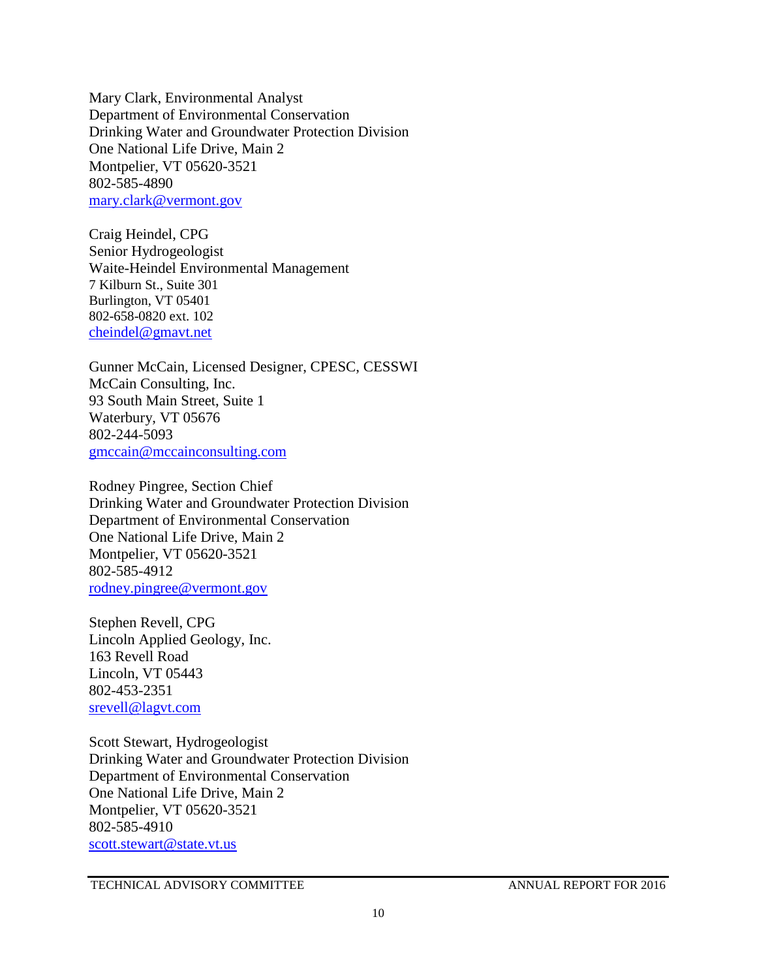Mary Clark, Environmental Analyst Department of Environmental Conservation Drinking Water and Groundwater Protection Division One National Life Drive, Main 2 Montpelier, VT 05620-3521 802-585-4890 [mary.clark@vermont.gov](mailto:mary.clark@vermont.gov)

Craig Heindel, CPG Senior Hydrogeologist Waite-Heindel Environmental Management 7 Kilburn St., Suite 301 Burlington, VT 05401 802-658-0820 ext. 102 [cheindel@gmavt.net](mailto:cheindel@gmavt.net)

Gunner McCain, Licensed Designer, CPESC, CESSWI McCain Consulting, Inc. 93 South Main Street, Suite 1 Waterbury, VT 05676 802-244-5093 [gmccain@mccainconsulting.com](mailto:gmccain@mccainconsulting.com)

Rodney Pingree, Section Chief Drinking Water and Groundwater Protection Division Department of Environmental Conservation One National Life Drive, Main 2 Montpelier, VT 05620-3521 802-585-4912 [rodney.pingree@vermont.gov](mailto:rodney.pingree@vermont.gov)

Stephen Revell, CPG Lincoln Applied Geology, Inc. 163 Revell Road Lincoln, VT 05443 802-453-2351 [srevell@lagvt.com](mailto:srevell@lagvt.com)

Scott Stewart, Hydrogeologist Drinking Water and Groundwater Protection Division Department of Environmental Conservation One National Life Drive, Main 2 Montpelier, VT 05620-3521 802-585-4910 [scott.stewart@state.vt.us](mailto:scott.stewart@state.vt.us)

TECHNICAL ADVISORY COMMITTEE ANNUAL REPORT FOR 2016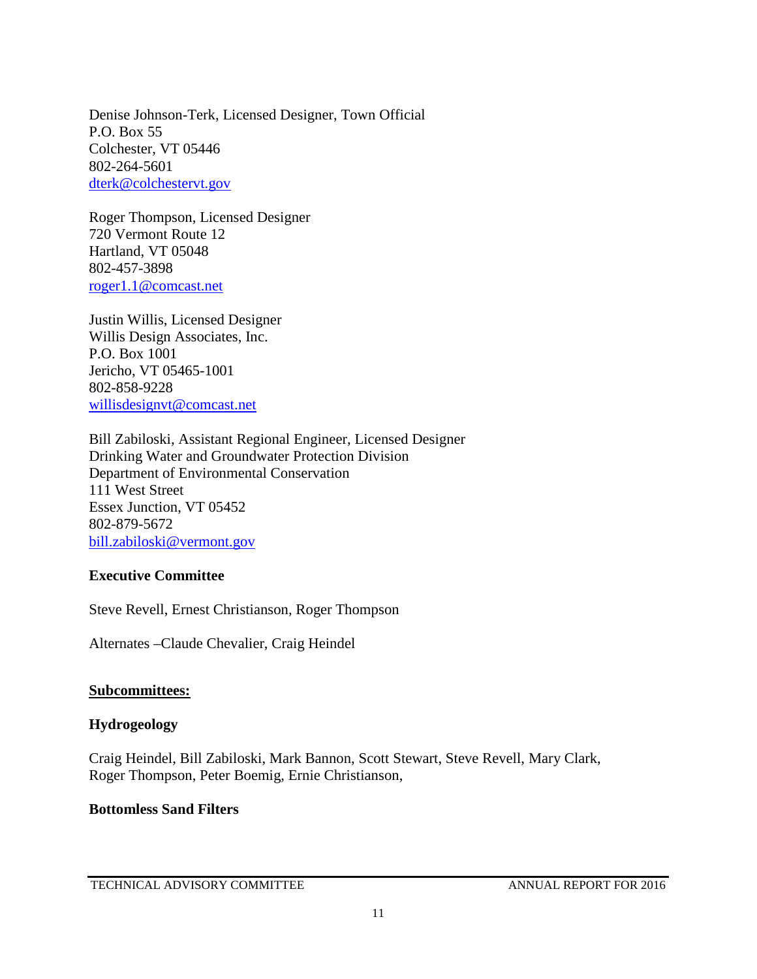Denise Johnson-Terk, Licensed Designer, Town Official P.O. Box 55 Colchester, VT 05446 802-264-5601 [dterk@colchestervt.gov](mailto:dterk@colchestervt.gov)

Roger Thompson, Licensed Designer 720 Vermont Route 12 Hartland, VT 05048 802-457-3898 [roger1.1@comcast.net](mailto:roger1.1@comcast.net)

Justin Willis, Licensed Designer Willis Design Associates, Inc. P.O. Box 1001 Jericho, VT 05465-1001 802-858-9228 [willisdesignvt@comcast.net](mailto:willisdesignvt@comcast.net)

Bill Zabiloski, Assistant Regional Engineer, Licensed Designer Drinking Water and Groundwater Protection Division Department of Environmental Conservation 111 West Street Essex Junction, VT 05452 802-879-5672 [bill.zabiloski@vermont.gov](mailto:bill.zabiloski@vermont.gov)

#### **Executive Committee**

Steve Revell, Ernest Christianson, Roger Thompson

Alternates –Claude Chevalier, Craig Heindel

#### **Subcommittees:**

#### **Hydrogeology**

Craig Heindel, Bill Zabiloski, Mark Bannon, Scott Stewart, Steve Revell, Mary Clark, Roger Thompson, Peter Boemig, Ernie Christianson,

#### **Bottomless Sand Filters**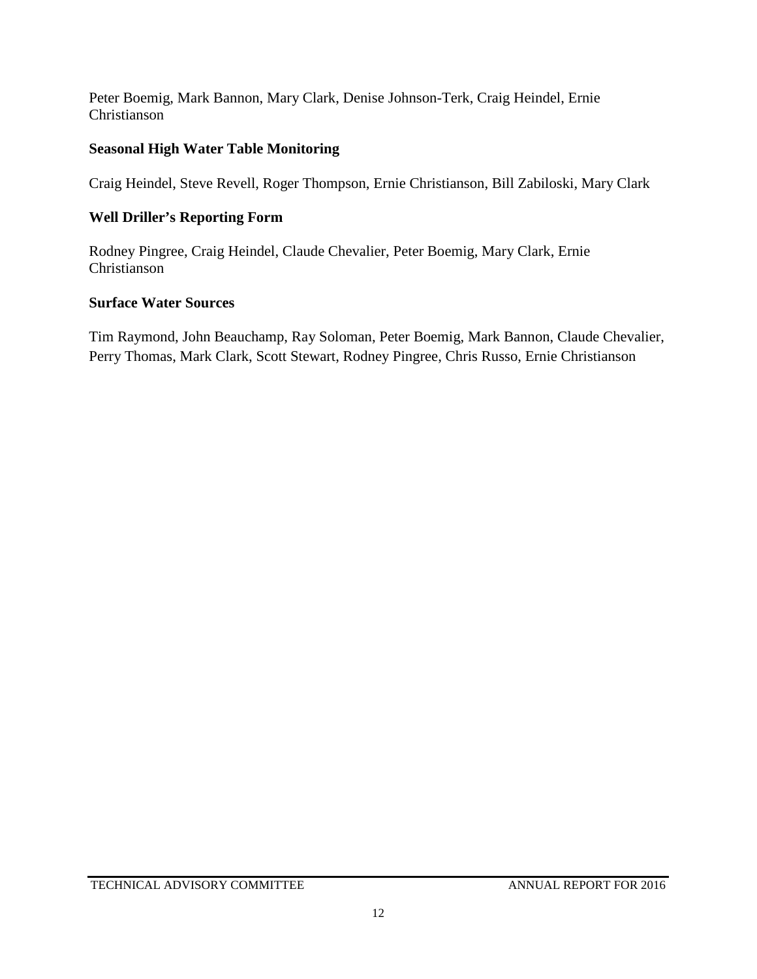Peter Boemig, Mark Bannon, Mary Clark, Denise Johnson-Terk, Craig Heindel, Ernie Christianson

#### **Seasonal High Water Table Monitoring**

Craig Heindel, Steve Revell, Roger Thompson, Ernie Christianson, Bill Zabiloski, Mary Clark

#### **Well Driller's Reporting Form**

Rodney Pingree, Craig Heindel, Claude Chevalier, Peter Boemig, Mary Clark, Ernie Christianson

#### **Surface Water Sources**

Tim Raymond, John Beauchamp, Ray Soloman, Peter Boemig, Mark Bannon, Claude Chevalier, Perry Thomas, Mark Clark, Scott Stewart, Rodney Pingree, Chris Russo, Ernie Christianson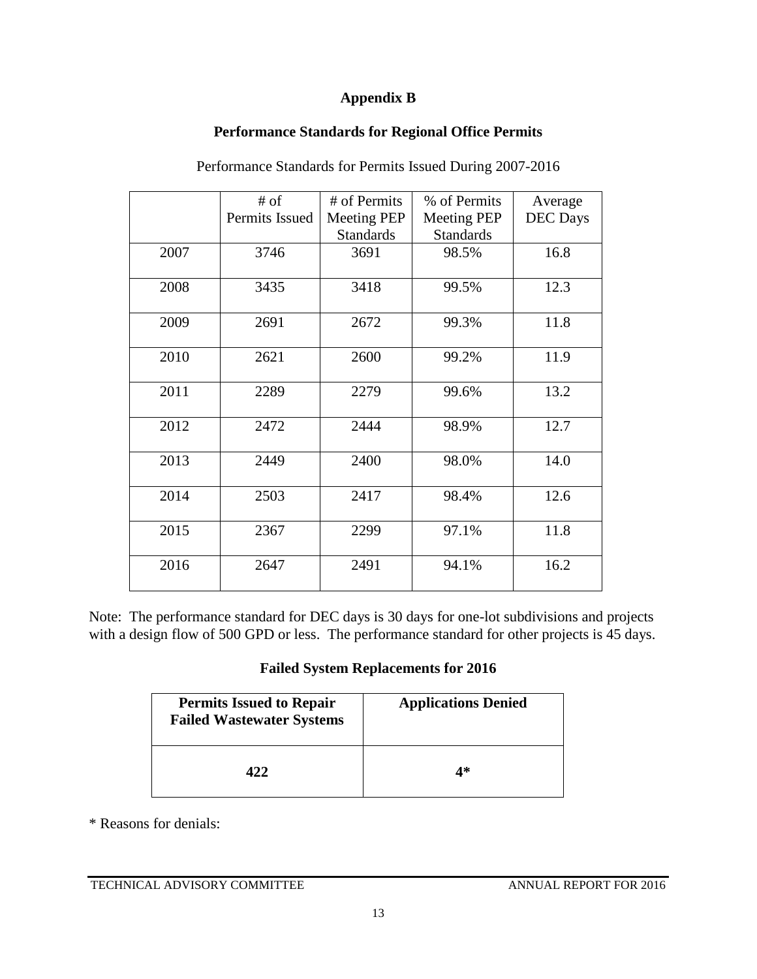#### **Appendix B**

#### **Performance Standards for Regional Office Permits**

|      | $#$ of         | # of Permits     | % of Permits       | Average         |
|------|----------------|------------------|--------------------|-----------------|
|      | Permits Issued | Meeting PEP      | <b>Meeting PEP</b> | <b>DEC</b> Days |
|      |                | <b>Standards</b> | <b>Standards</b>   |                 |
| 2007 | 3746           | 3691             | 98.5%              | 16.8            |
| 2008 | 3435           | 3418             | 99.5%              | 12.3            |
| 2009 | 2691           | 2672             | 99.3%              | 11.8            |
| 2010 | 2621           | 2600             | 99.2%              | 11.9            |
| 2011 | 2289           | 2279             | 99.6%              | 13.2            |
| 2012 | 2472           | 2444             | 98.9%              | 12.7            |
| 2013 | 2449           | 2400             | 98.0%              | 14.0            |
| 2014 | 2503           | 2417             | 98.4%              | 12.6            |
| 2015 | 2367           | 2299             | 97.1%              | 11.8            |
| 2016 | 2647           | 2491             | 94.1%              | 16.2            |

Performance Standards for Permits Issued During 2007-2016

Note: The performance standard for DEC days is 30 days for one-lot subdivisions and projects with a design flow of 500 GPD or less. The performance standard for other projects is 45 days.

#### **Failed System Replacements for 2016**

| <b>Permits Issued to Repair</b><br><b>Failed Wastewater Systems</b> | <b>Applications Denied</b> |
|---------------------------------------------------------------------|----------------------------|
| 422.                                                                | 4*                         |

\* Reasons for denials: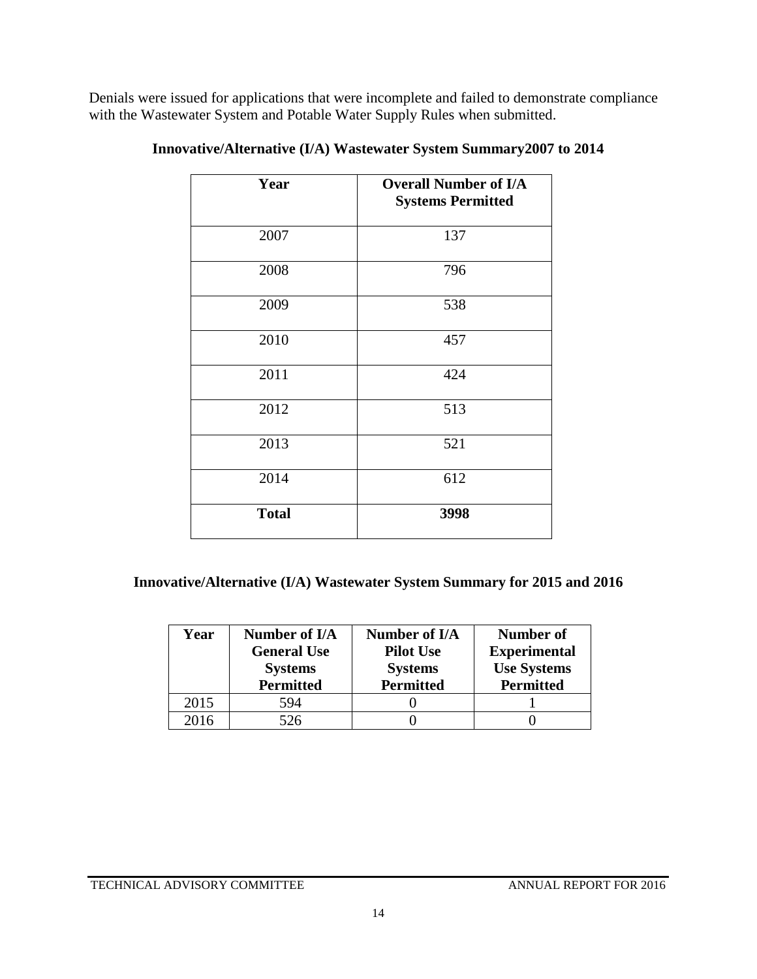Denials were issued for applications that were incomplete and failed to demonstrate compliance with the Wastewater System and Potable Water Supply Rules when submitted.

| Year         | <b>Overall Number of I/A</b><br><b>Systems Permitted</b> |
|--------------|----------------------------------------------------------|
| 2007         | 137                                                      |
| 2008         | 796                                                      |
| 2009         | 538                                                      |
| 2010         | 457                                                      |
| 2011         | 424                                                      |
| 2012         | 513                                                      |
| 2013         | 521                                                      |
| 2014         | 612                                                      |
| <b>Total</b> | 3998                                                     |

**Innovative/Alternative (I/A) Wastewater System Summary2007 to 2014**

**Innovative/Alternative (I/A) Wastewater System Summary for 2015 and 2016**

| Year | Number of I/A<br><b>General Use</b><br><b>Systems</b><br><b>Permitted</b> | Number of I/A<br><b>Pilot Use</b><br><b>Systems</b><br><b>Permitted</b> | Number of<br><b>Experimental</b><br><b>Use Systems</b><br><b>Permitted</b> |
|------|---------------------------------------------------------------------------|-------------------------------------------------------------------------|----------------------------------------------------------------------------|
| 2015 | 594                                                                       |                                                                         |                                                                            |
| 2016 | 526                                                                       |                                                                         |                                                                            |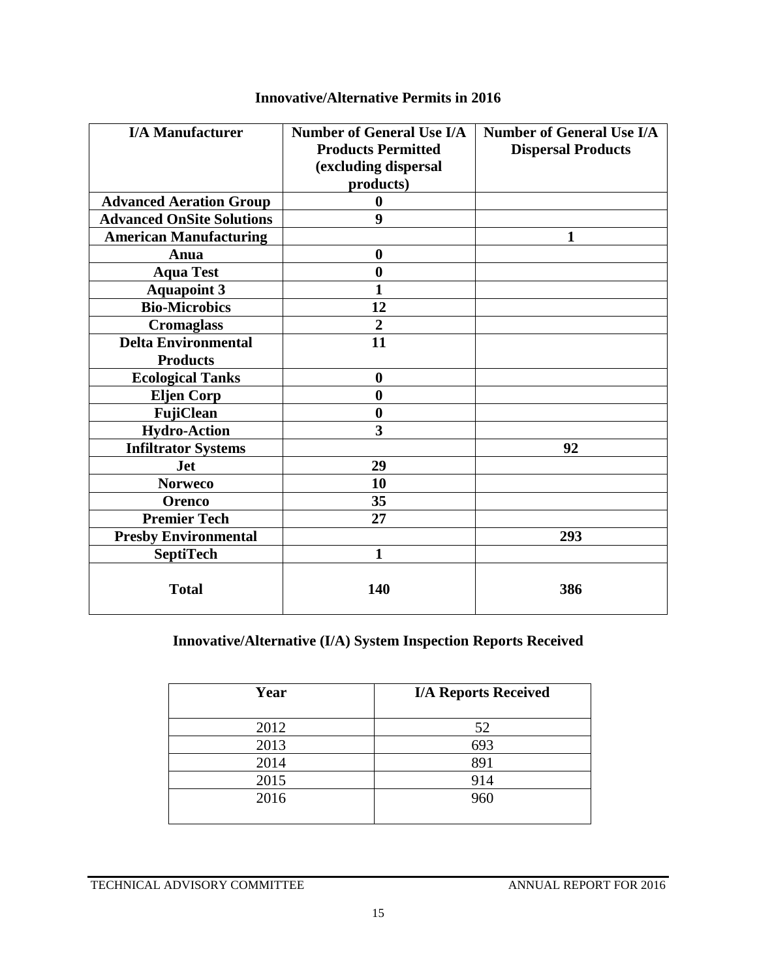| <b>I/A Manufacturer</b>          | <b>Number of General Use I/A</b><br><b>Products Permitted</b><br>(excluding dispersal<br>products) | <b>Number of General Use I/A</b><br><b>Dispersal Products</b> |
|----------------------------------|----------------------------------------------------------------------------------------------------|---------------------------------------------------------------|
| <b>Advanced Aeration Group</b>   | $\bf{0}$                                                                                           |                                                               |
| <b>Advanced OnSite Solutions</b> | 9                                                                                                  |                                                               |
| <b>American Manufacturing</b>    |                                                                                                    | 1                                                             |
| Anua                             | $\boldsymbol{0}$                                                                                   |                                                               |
| <b>Aqua Test</b>                 | $\boldsymbol{0}$                                                                                   |                                                               |
| <b>Aquapoint 3</b>               | 1                                                                                                  |                                                               |
| <b>Bio-Microbics</b>             | 12                                                                                                 |                                                               |
| <b>Cromaglass</b>                | $\overline{2}$                                                                                     |                                                               |
| <b>Delta Environmental</b>       | 11                                                                                                 |                                                               |
| <b>Products</b>                  |                                                                                                    |                                                               |
| <b>Ecological Tanks</b>          | $\boldsymbol{0}$                                                                                   |                                                               |
| <b>Eljen Corp</b>                | $\bf{0}$                                                                                           |                                                               |
| <b>FujiClean</b>                 | $\bf{0}$                                                                                           |                                                               |
| <b>Hydro-Action</b>              | 3                                                                                                  |                                                               |
| <b>Infiltrator Systems</b>       |                                                                                                    | 92                                                            |
| <b>Jet</b>                       | 29                                                                                                 |                                                               |
| <b>Norweco</b>                   | 10                                                                                                 |                                                               |
| <b>Orenco</b>                    | 35                                                                                                 |                                                               |
| <b>Premier Tech</b>              | 27                                                                                                 |                                                               |
| <b>Presby Environmental</b>      |                                                                                                    | 293                                                           |
| <b>SeptiTech</b>                 | 1                                                                                                  |                                                               |
| <b>Total</b>                     | 140                                                                                                | 386                                                           |

### **Innovative/Alternative Permits in 2016**

### **Innovative/Alternative (I/A) System Inspection Reports Received**

| Year | <b>I/A Reports Received</b> |
|------|-----------------------------|
| 2012 | 52                          |
| 2013 | 693                         |
| 2014 | 891                         |
| 2015 | 914                         |
| 2016 | 960                         |
|      |                             |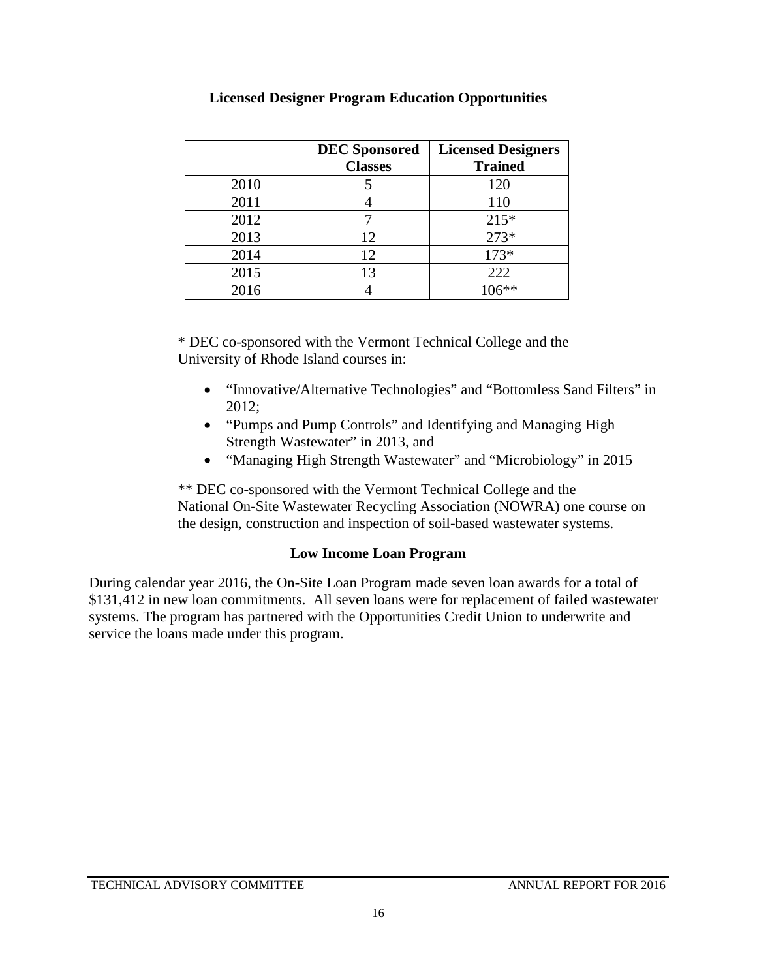|      | <b>DEC</b> Sponsored<br><b>Classes</b> | <b>Licensed Designers</b><br><b>Trained</b> |
|------|----------------------------------------|---------------------------------------------|
| 2010 |                                        | 120                                         |
| 2011 |                                        | 110                                         |
| 2012 |                                        | $215*$                                      |
| 2013 | 12                                     | 273*                                        |
| 2014 | 12                                     | $173*$                                      |
| 2015 | 13                                     | 222                                         |
| 2016 |                                        |                                             |

#### **Licensed Designer Program Education Opportunities**

\* DEC co-sponsored with the Vermont Technical College and the University of Rhode Island courses in:

- "Innovative/Alternative Technologies" and "Bottomless Sand Filters" in 2012;
- "Pumps and Pump Controls" and Identifying and Managing High Strength Wastewater" in 2013, and
- "Managing High Strength Wastewater" and "Microbiology" in 2015

\*\* DEC co-sponsored with the Vermont Technical College and the National On-Site Wastewater Recycling Association (NOWRA) one course on the design, construction and inspection of soil-based wastewater systems.

#### **Low Income Loan Program**

During calendar year 2016, the On-Site Loan Program made seven loan awards for a total of \$131,412 in new loan commitments. All seven loans were for replacement of failed wastewater systems. The program has partnered with the Opportunities Credit Union to underwrite and service the loans made under this program.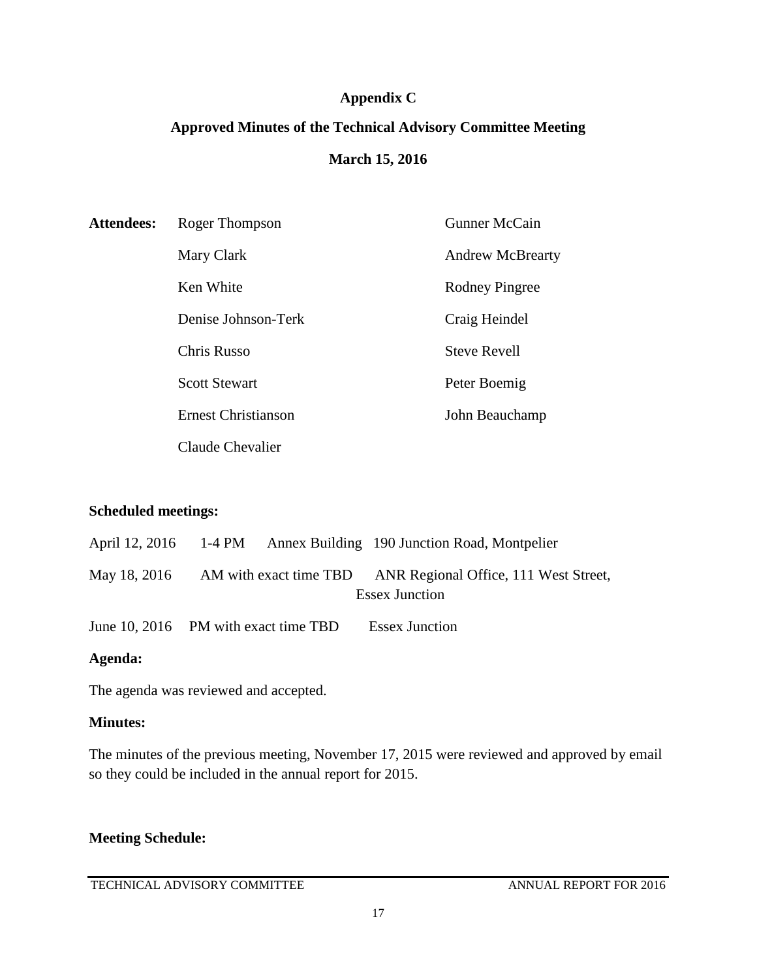#### **Appendix C**

# **Approved Minutes of the Technical Advisory Committee Meeting March 15, 2016**

| <b>Attendees:</b> | Roger Thompson             | <b>Gunner McCain</b>    |
|-------------------|----------------------------|-------------------------|
|                   | Mary Clark                 | <b>Andrew McBrearty</b> |
|                   | Ken White                  | Rodney Pingree          |
|                   | Denise Johnson-Terk        | Craig Heindel           |
|                   | <b>Chris Russo</b>         | <b>Steve Revell</b>     |
|                   | <b>Scott Stewart</b>       | Peter Boemig            |
|                   | <b>Ernest Christianson</b> | John Beauchamp          |
|                   | Claude Chevalier           |                         |

#### **Scheduled meetings:**

|                                      |  | April 12, 2016 1-4 PM Annex Building 190 Junction Road, Montpelier |
|--------------------------------------|--|--------------------------------------------------------------------|
| May 18, 2016                         |  | AM with exact time TBD ANR Regional Office, 111 West Street,       |
|                                      |  | <b>Essex Junction</b>                                              |
| June 10, 2016 PM with exact time TBD |  | <b>Essex Junction</b>                                              |

#### **Agenda:**

The agenda was reviewed and accepted.

#### **Minutes:**

The minutes of the previous meeting, November 17, 2015 were reviewed and approved by email so they could be included in the annual report for 2015.

### **Meeting Schedule:**

TECHNICAL ADVISORY COMMITTEE ANNUAL REPORT FOR 2016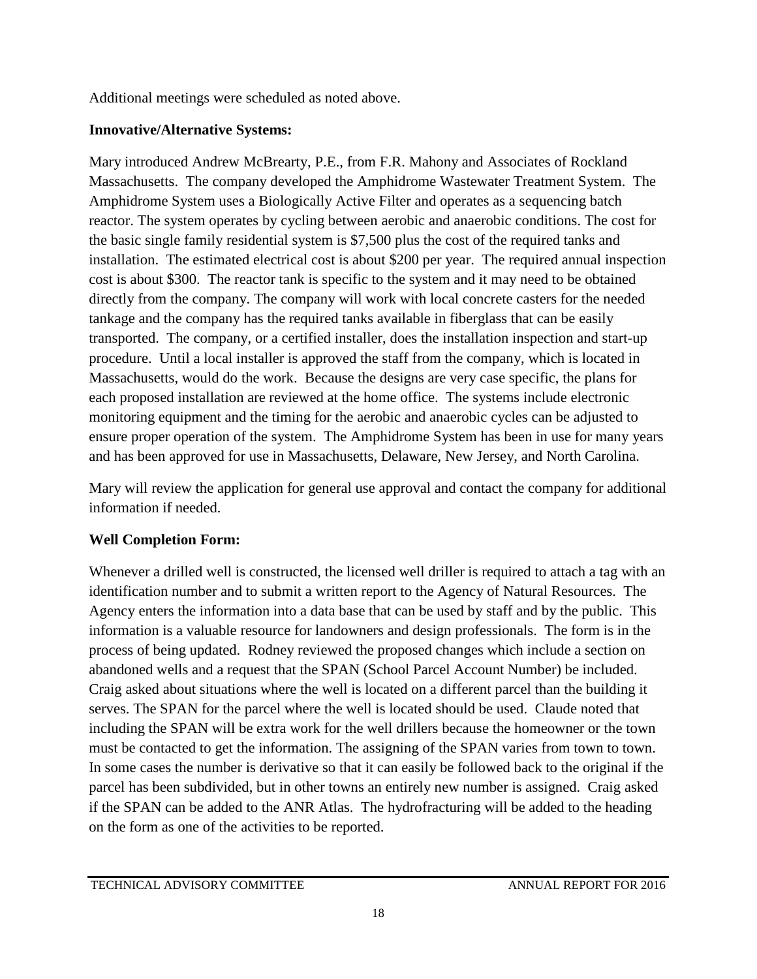Additional meetings were scheduled as noted above.

### **Innovative/Alternative Systems:**

Mary introduced Andrew McBrearty, P.E., from F.R. Mahony and Associates of Rockland Massachusetts. The company developed the Amphidrome Wastewater Treatment System. The Amphidrome System uses a Biologically Active Filter and operates as a sequencing batch reactor. The system operates by cycling between aerobic and anaerobic conditions. The cost for the basic single family residential system is \$7,500 plus the cost of the required tanks and installation. The estimated electrical cost is about \$200 per year. The required annual inspection cost is about \$300. The reactor tank is specific to the system and it may need to be obtained directly from the company. The company will work with local concrete casters for the needed tankage and the company has the required tanks available in fiberglass that can be easily transported. The company, or a certified installer, does the installation inspection and start-up procedure. Until a local installer is approved the staff from the company, which is located in Massachusetts, would do the work. Because the designs are very case specific, the plans for each proposed installation are reviewed at the home office. The systems include electronic monitoring equipment and the timing for the aerobic and anaerobic cycles can be adjusted to ensure proper operation of the system. The Amphidrome System has been in use for many years and has been approved for use in Massachusetts, Delaware, New Jersey, and North Carolina.

Mary will review the application for general use approval and contact the company for additional information if needed.

### **Well Completion Form:**

Whenever a drilled well is constructed, the licensed well driller is required to attach a tag with an identification number and to submit a written report to the Agency of Natural Resources. The Agency enters the information into a data base that can be used by staff and by the public. This information is a valuable resource for landowners and design professionals. The form is in the process of being updated. Rodney reviewed the proposed changes which include a section on abandoned wells and a request that the SPAN (School Parcel Account Number) be included. Craig asked about situations where the well is located on a different parcel than the building it serves. The SPAN for the parcel where the well is located should be used. Claude noted that including the SPAN will be extra work for the well drillers because the homeowner or the town must be contacted to get the information. The assigning of the SPAN varies from town to town. In some cases the number is derivative so that it can easily be followed back to the original if the parcel has been subdivided, but in other towns an entirely new number is assigned. Craig asked if the SPAN can be added to the ANR Atlas. The hydrofracturing will be added to the heading on the form as one of the activities to be reported.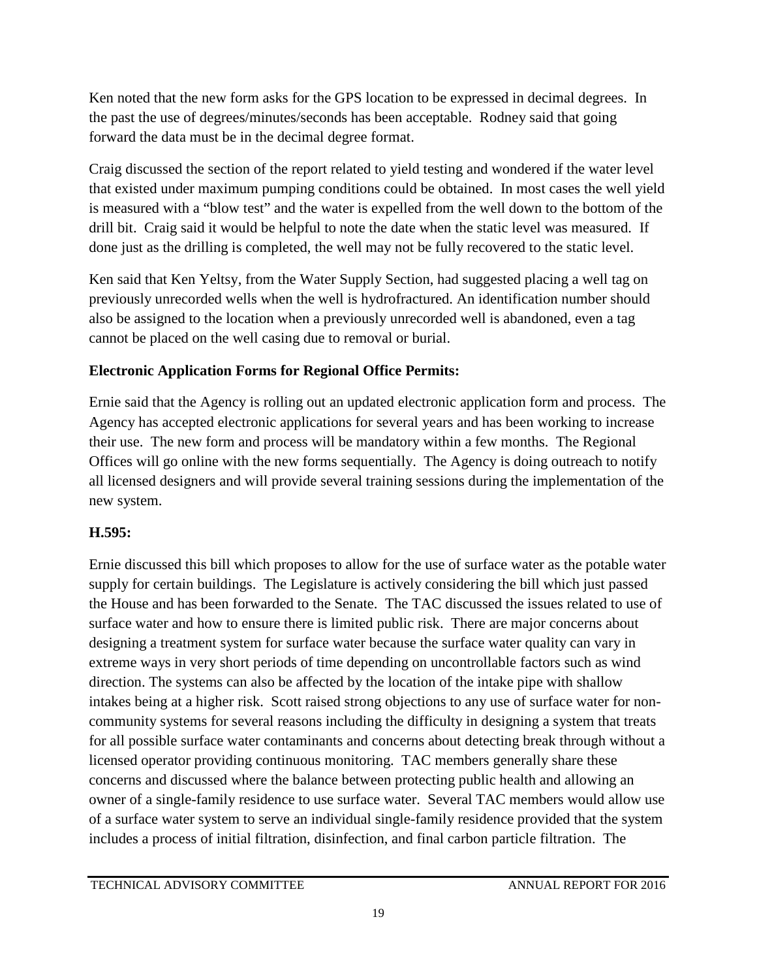Ken noted that the new form asks for the GPS location to be expressed in decimal degrees. In the past the use of degrees/minutes/seconds has been acceptable. Rodney said that going forward the data must be in the decimal degree format.

Craig discussed the section of the report related to yield testing and wondered if the water level that existed under maximum pumping conditions could be obtained. In most cases the well yield is measured with a "blow test" and the water is expelled from the well down to the bottom of the drill bit. Craig said it would be helpful to note the date when the static level was measured. If done just as the drilling is completed, the well may not be fully recovered to the static level.

Ken said that Ken Yeltsy, from the Water Supply Section, had suggested placing a well tag on previously unrecorded wells when the well is hydrofractured. An identification number should also be assigned to the location when a previously unrecorded well is abandoned, even a tag cannot be placed on the well casing due to removal or burial.

### **Electronic Application Forms for Regional Office Permits:**

Ernie said that the Agency is rolling out an updated electronic application form and process. The Agency has accepted electronic applications for several years and has been working to increase their use. The new form and process will be mandatory within a few months. The Regional Offices will go online with the new forms sequentially. The Agency is doing outreach to notify all licensed designers and will provide several training sessions during the implementation of the new system.

### **H.595:**

Ernie discussed this bill which proposes to allow for the use of surface water as the potable water supply for certain buildings. The Legislature is actively considering the bill which just passed the House and has been forwarded to the Senate. The TAC discussed the issues related to use of surface water and how to ensure there is limited public risk. There are major concerns about designing a treatment system for surface water because the surface water quality can vary in extreme ways in very short periods of time depending on uncontrollable factors such as wind direction. The systems can also be affected by the location of the intake pipe with shallow intakes being at a higher risk. Scott raised strong objections to any use of surface water for noncommunity systems for several reasons including the difficulty in designing a system that treats for all possible surface water contaminants and concerns about detecting break through without a licensed operator providing continuous monitoring. TAC members generally share these concerns and discussed where the balance between protecting public health and allowing an owner of a single-family residence to use surface water. Several TAC members would allow use of a surface water system to serve an individual single-family residence provided that the system includes a process of initial filtration, disinfection, and final carbon particle filtration. The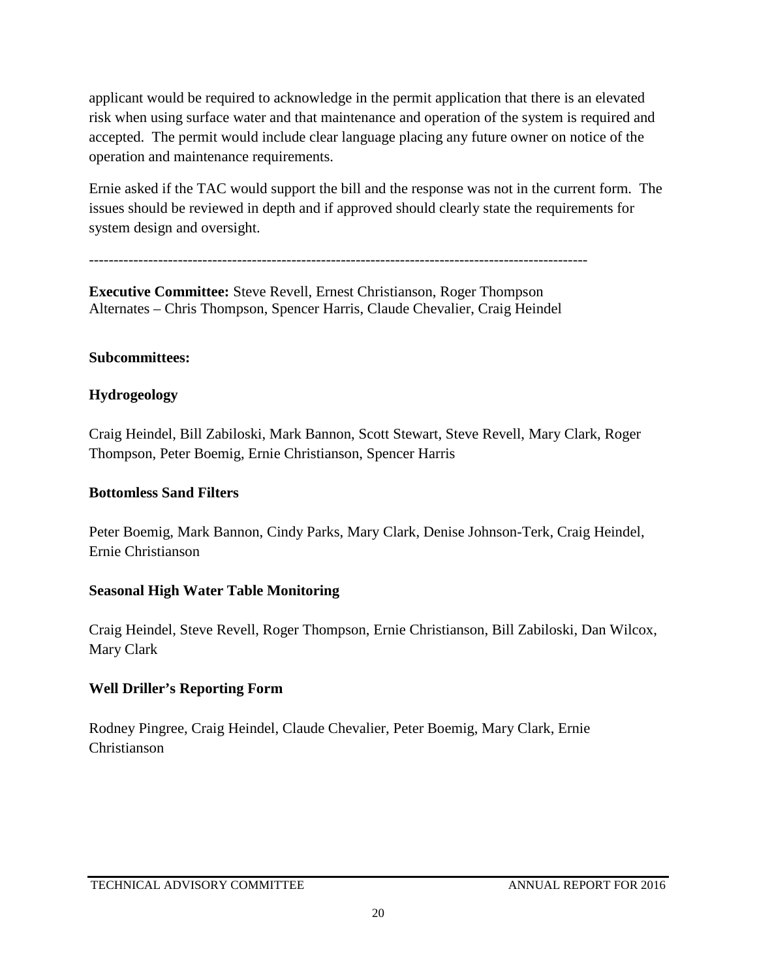applicant would be required to acknowledge in the permit application that there is an elevated risk when using surface water and that maintenance and operation of the system is required and accepted. The permit would include clear language placing any future owner on notice of the operation and maintenance requirements.

Ernie asked if the TAC would support the bill and the response was not in the current form. The issues should be reviewed in depth and if approved should clearly state the requirements for system design and oversight.

-----------------------------------------------------------------------------------------------------

**Executive Committee:** Steve Revell, Ernest Christianson, Roger Thompson Alternates – Chris Thompson, Spencer Harris, Claude Chevalier, Craig Heindel

#### **Subcommittees:**

#### **Hydrogeology**

Craig Heindel, Bill Zabiloski, Mark Bannon, Scott Stewart, Steve Revell, Mary Clark, Roger Thompson, Peter Boemig, Ernie Christianson, Spencer Harris

#### **Bottomless Sand Filters**

Peter Boemig, Mark Bannon, Cindy Parks, Mary Clark, Denise Johnson-Terk, Craig Heindel, Ernie Christianson

#### **Seasonal High Water Table Monitoring**

Craig Heindel, Steve Revell, Roger Thompson, Ernie Christianson, Bill Zabiloski, Dan Wilcox, Mary Clark

#### **Well Driller's Reporting Form**

Rodney Pingree, Craig Heindel, Claude Chevalier, Peter Boemig, Mary Clark, Ernie Christianson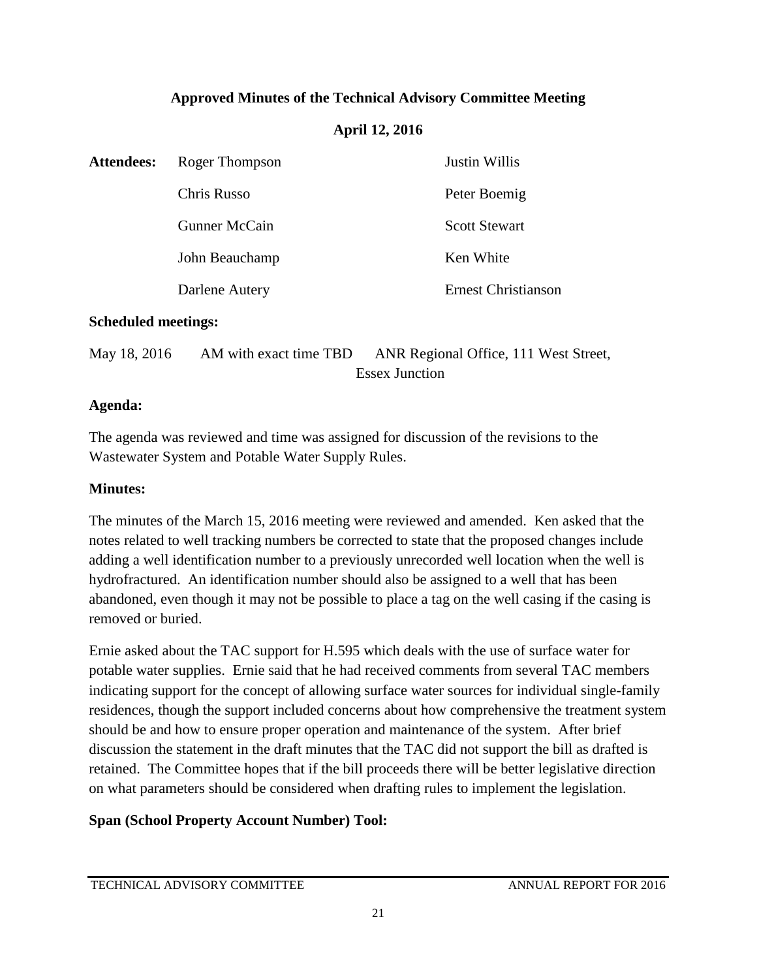### **Approved Minutes of the Technical Advisory Committee Meeting**

#### **April 12, 2016**

| <b>Attendees:</b> | Roger Thompson | Justin Willis              |  |
|-------------------|----------------|----------------------------|--|
|                   | Chris Russo    | Peter Boemig               |  |
|                   | Gunner McCain  | <b>Scott Stewart</b>       |  |
|                   | John Beauchamp | Ken White                  |  |
|                   | Darlene Autery | <b>Ernest Christianson</b> |  |
|                   |                |                            |  |

#### **Scheduled meetings:**

| May 18, 2016 | AM with exact time TBD | ANR Regional Office, 111 West Street, |
|--------------|------------------------|---------------------------------------|
|              |                        | <b>Essex Junction</b>                 |

#### **Agenda:**

The agenda was reviewed and time was assigned for discussion of the revisions to the Wastewater System and Potable Water Supply Rules.

#### **Minutes:**

The minutes of the March 15, 2016 meeting were reviewed and amended. Ken asked that the notes related to well tracking numbers be corrected to state that the proposed changes include adding a well identification number to a previously unrecorded well location when the well is hydrofractured. An identification number should also be assigned to a well that has been abandoned, even though it may not be possible to place a tag on the well casing if the casing is removed or buried.

Ernie asked about the TAC support for H.595 which deals with the use of surface water for potable water supplies. Ernie said that he had received comments from several TAC members indicating support for the concept of allowing surface water sources for individual single-family residences, though the support included concerns about how comprehensive the treatment system should be and how to ensure proper operation and maintenance of the system. After brief discussion the statement in the draft minutes that the TAC did not support the bill as drafted is retained. The Committee hopes that if the bill proceeds there will be better legislative direction on what parameters should be considered when drafting rules to implement the legislation.

#### **Span (School Property Account Number) Tool:**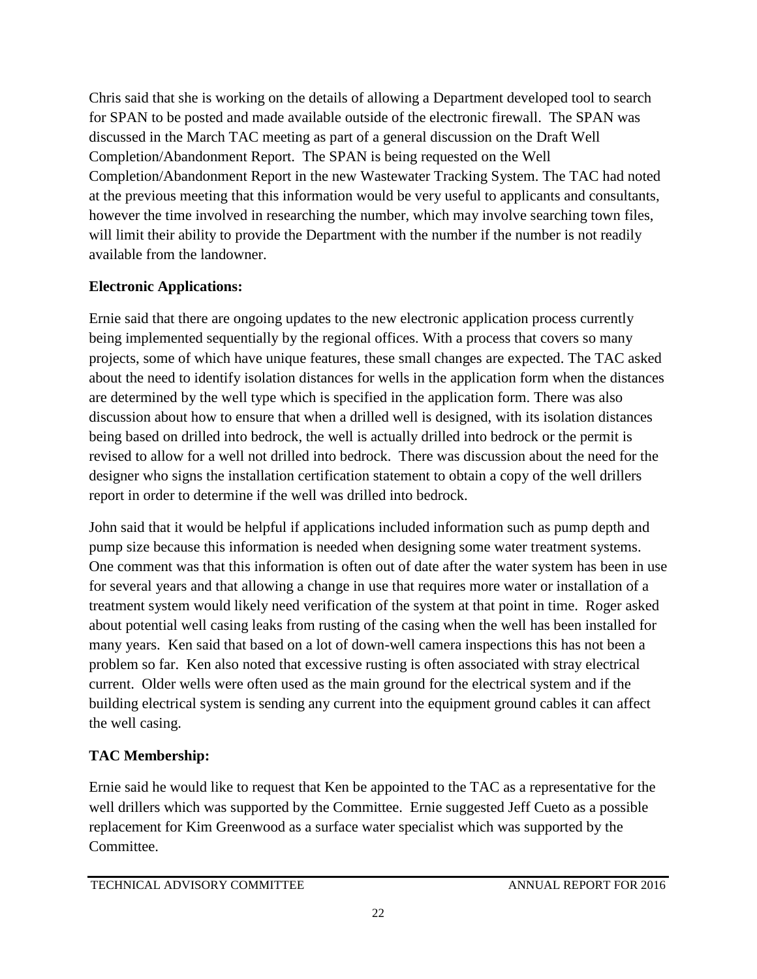Chris said that she is working on the details of allowing a Department developed tool to search for SPAN to be posted and made available outside of the electronic firewall. The SPAN was discussed in the March TAC meeting as part of a general discussion on the Draft Well Completion/Abandonment Report. The SPAN is being requested on the Well Completion/Abandonment Report in the new Wastewater Tracking System. The TAC had noted at the previous meeting that this information would be very useful to applicants and consultants, however the time involved in researching the number, which may involve searching town files, will limit their ability to provide the Department with the number if the number is not readily available from the landowner.

### **Electronic Applications:**

Ernie said that there are ongoing updates to the new electronic application process currently being implemented sequentially by the regional offices. With a process that covers so many projects, some of which have unique features, these small changes are expected. The TAC asked about the need to identify isolation distances for wells in the application form when the distances are determined by the well type which is specified in the application form. There was also discussion about how to ensure that when a drilled well is designed, with its isolation distances being based on drilled into bedrock, the well is actually drilled into bedrock or the permit is revised to allow for a well not drilled into bedrock. There was discussion about the need for the designer who signs the installation certification statement to obtain a copy of the well drillers report in order to determine if the well was drilled into bedrock.

John said that it would be helpful if applications included information such as pump depth and pump size because this information is needed when designing some water treatment systems. One comment was that this information is often out of date after the water system has been in use for several years and that allowing a change in use that requires more water or installation of a treatment system would likely need verification of the system at that point in time. Roger asked about potential well casing leaks from rusting of the casing when the well has been installed for many years. Ken said that based on a lot of down-well camera inspections this has not been a problem so far. Ken also noted that excessive rusting is often associated with stray electrical current. Older wells were often used as the main ground for the electrical system and if the building electrical system is sending any current into the equipment ground cables it can affect the well casing.

# **TAC Membership:**

Ernie said he would like to request that Ken be appointed to the TAC as a representative for the well drillers which was supported by the Committee. Ernie suggested Jeff Cueto as a possible replacement for Kim Greenwood as a surface water specialist which was supported by the Committee.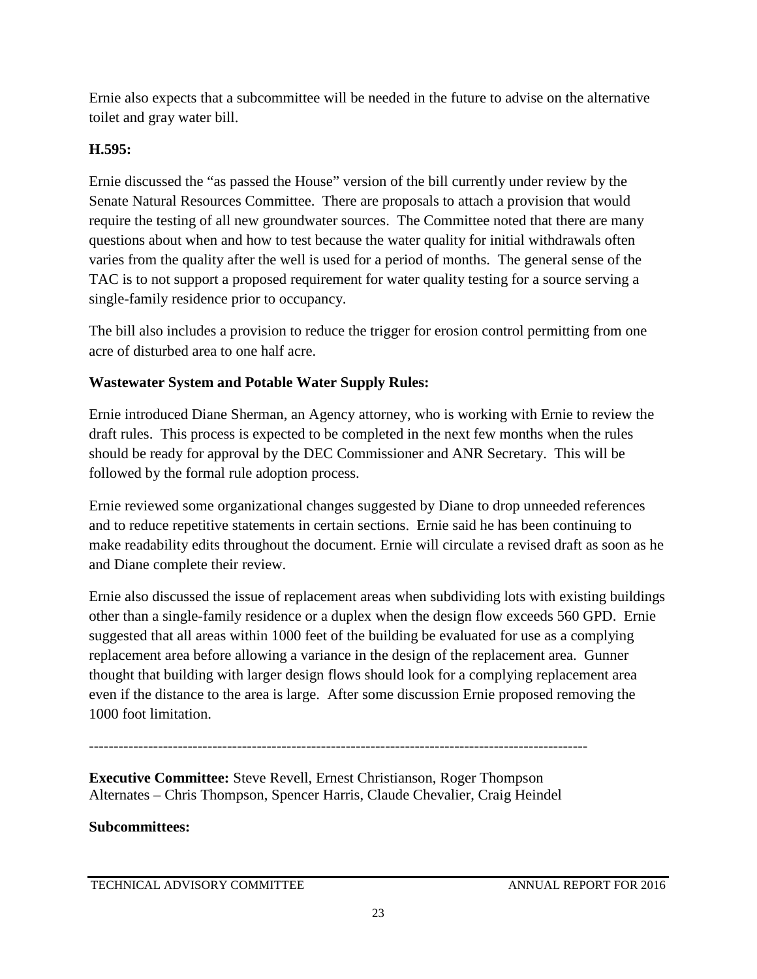Ernie also expects that a subcommittee will be needed in the future to advise on the alternative toilet and gray water bill.

### **H.595:**

Ernie discussed the "as passed the House" version of the bill currently under review by the Senate Natural Resources Committee. There are proposals to attach a provision that would require the testing of all new groundwater sources. The Committee noted that there are many questions about when and how to test because the water quality for initial withdrawals often varies from the quality after the well is used for a period of months. The general sense of the TAC is to not support a proposed requirement for water quality testing for a source serving a single-family residence prior to occupancy.

The bill also includes a provision to reduce the trigger for erosion control permitting from one acre of disturbed area to one half acre.

### **Wastewater System and Potable Water Supply Rules:**

Ernie introduced Diane Sherman, an Agency attorney, who is working with Ernie to review the draft rules. This process is expected to be completed in the next few months when the rules should be ready for approval by the DEC Commissioner and ANR Secretary. This will be followed by the formal rule adoption process.

Ernie reviewed some organizational changes suggested by Diane to drop unneeded references and to reduce repetitive statements in certain sections. Ernie said he has been continuing to make readability edits throughout the document. Ernie will circulate a revised draft as soon as he and Diane complete their review.

Ernie also discussed the issue of replacement areas when subdividing lots with existing buildings other than a single-family residence or a duplex when the design flow exceeds 560 GPD. Ernie suggested that all areas within 1000 feet of the building be evaluated for use as a complying replacement area before allowing a variance in the design of the replacement area. Gunner thought that building with larger design flows should look for a complying replacement area even if the distance to the area is large. After some discussion Ernie proposed removing the 1000 foot limitation.

-----------------------------------------------------------------------------------------------------

**Executive Committee:** Steve Revell, Ernest Christianson, Roger Thompson Alternates – Chris Thompson, Spencer Harris, Claude Chevalier, Craig Heindel

#### **Subcommittees:**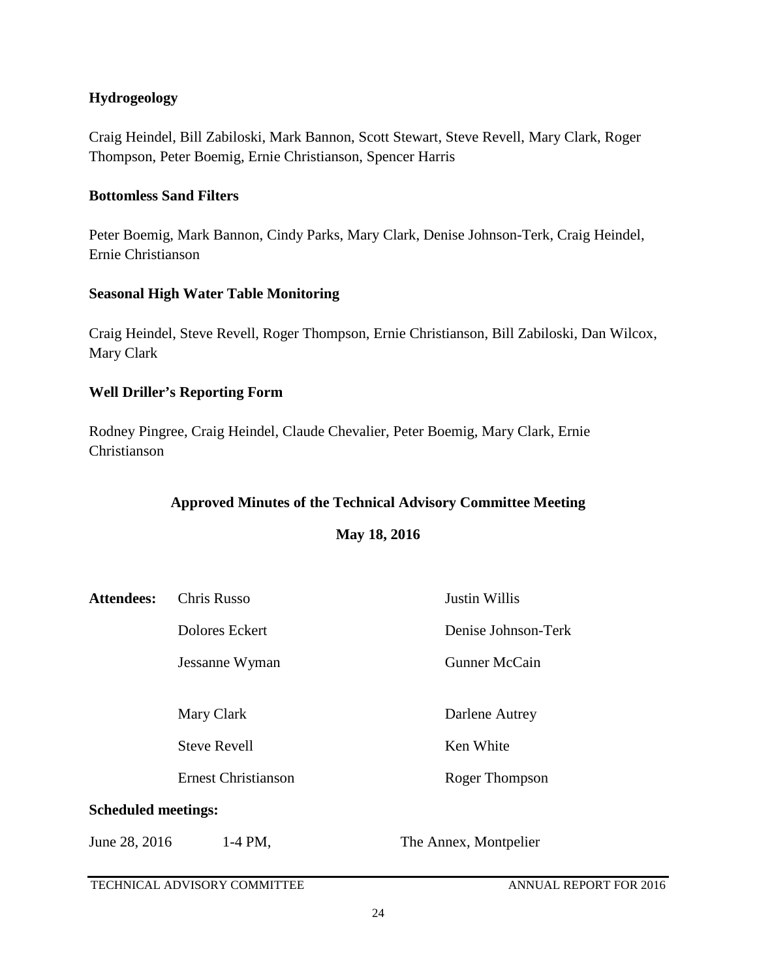#### **Hydrogeology**

Craig Heindel, Bill Zabiloski, Mark Bannon, Scott Stewart, Steve Revell, Mary Clark, Roger Thompson, Peter Boemig, Ernie Christianson, Spencer Harris

#### **Bottomless Sand Filters**

Peter Boemig, Mark Bannon, Cindy Parks, Mary Clark, Denise Johnson-Terk, Craig Heindel, Ernie Christianson

#### **Seasonal High Water Table Monitoring**

Craig Heindel, Steve Revell, Roger Thompson, Ernie Christianson, Bill Zabiloski, Dan Wilcox, Mary Clark

#### **Well Driller's Reporting Form**

Rodney Pingree, Craig Heindel, Claude Chevalier, Peter Boemig, Mary Clark, Ernie Christianson

#### **Approved Minutes of the Technical Advisory Committee Meeting**

**May 18, 2016**

| <b>Attendees:</b>                                 | Chris Russo    | <b>Justin Willis</b>  |  |
|---------------------------------------------------|----------------|-----------------------|--|
|                                                   | Dolores Eckert | Denise Johnson-Terk   |  |
|                                                   | Jessanne Wyman | <b>Gunner McCain</b>  |  |
|                                                   | Mary Clark     | Darlene Autrey        |  |
| <b>Steve Revell</b><br><b>Ernest Christianson</b> |                | Ken White             |  |
|                                                   |                | Roger Thompson        |  |
| <b>Scheduled meetings:</b>                        |                |                       |  |
| June 28, 2016                                     | 1-4 PM.        | The Annex, Montpelier |  |

TECHNICAL ADVISORY COMMITTEE ANNUAL REPORT FOR 2016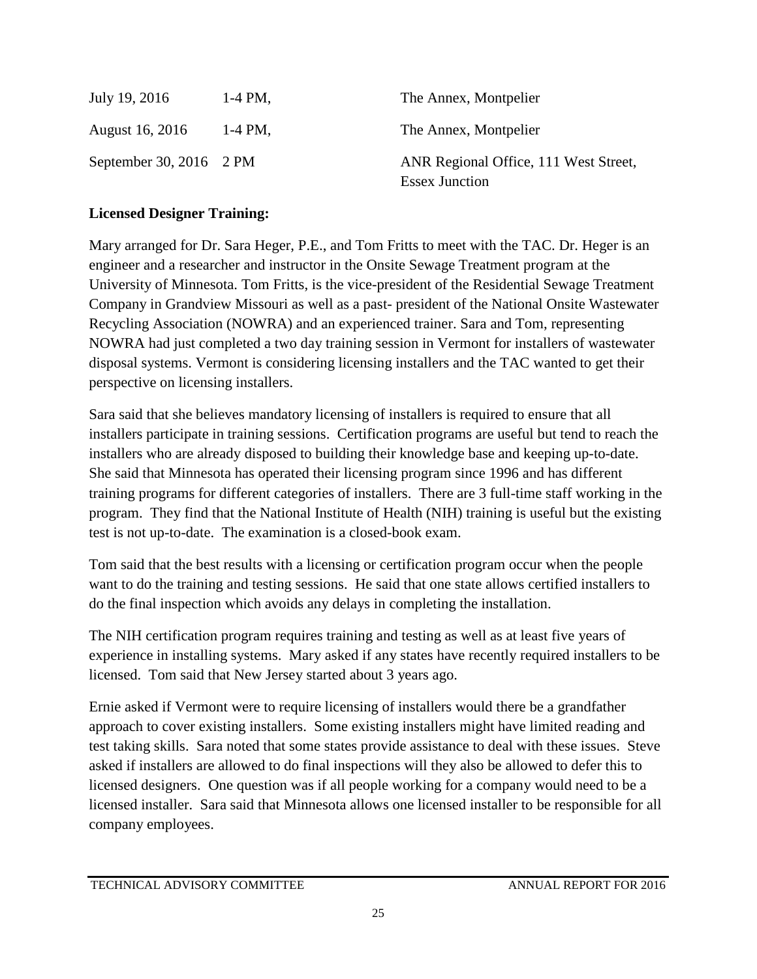| July 19, 2016           | $1-4$ PM, | The Annex, Montpelier                                          |
|-------------------------|-----------|----------------------------------------------------------------|
| August 16, 2016         | $1-4$ PM, | The Annex, Montpelier                                          |
| September 30, 2016 2 PM |           | ANR Regional Office, 111 West Street,<br><b>Essex Junction</b> |

#### **Licensed Designer Training:**

Mary arranged for Dr. Sara Heger, P.E., and Tom Fritts to meet with the TAC. Dr. Heger is an engineer and a researcher and instructor in the Onsite Sewage Treatment program at the University of Minnesota. Tom Fritts, is the vice-president of the Residential Sewage Treatment Company in Grandview Missouri as well as a past- president of the National Onsite Wastewater Recycling Association (NOWRA) and an experienced trainer. Sara and Tom, representing NOWRA had just completed a two day training session in Vermont for installers of wastewater disposal systems. Vermont is considering licensing installers and the TAC wanted to get their perspective on licensing installers.

Sara said that she believes mandatory licensing of installers is required to ensure that all installers participate in training sessions. Certification programs are useful but tend to reach the installers who are already disposed to building their knowledge base and keeping up-to-date. She said that Minnesota has operated their licensing program since 1996 and has different training programs for different categories of installers. There are 3 full-time staff working in the program. They find that the National Institute of Health (NIH) training is useful but the existing test is not up-to-date. The examination is a closed-book exam.

Tom said that the best results with a licensing or certification program occur when the people want to do the training and testing sessions. He said that one state allows certified installers to do the final inspection which avoids any delays in completing the installation.

The NIH certification program requires training and testing as well as at least five years of experience in installing systems. Mary asked if any states have recently required installers to be licensed. Tom said that New Jersey started about 3 years ago.

Ernie asked if Vermont were to require licensing of installers would there be a grandfather approach to cover existing installers. Some existing installers might have limited reading and test taking skills. Sara noted that some states provide assistance to deal with these issues. Steve asked if installers are allowed to do final inspections will they also be allowed to defer this to licensed designers. One question was if all people working for a company would need to be a licensed installer. Sara said that Minnesota allows one licensed installer to be responsible for all company employees.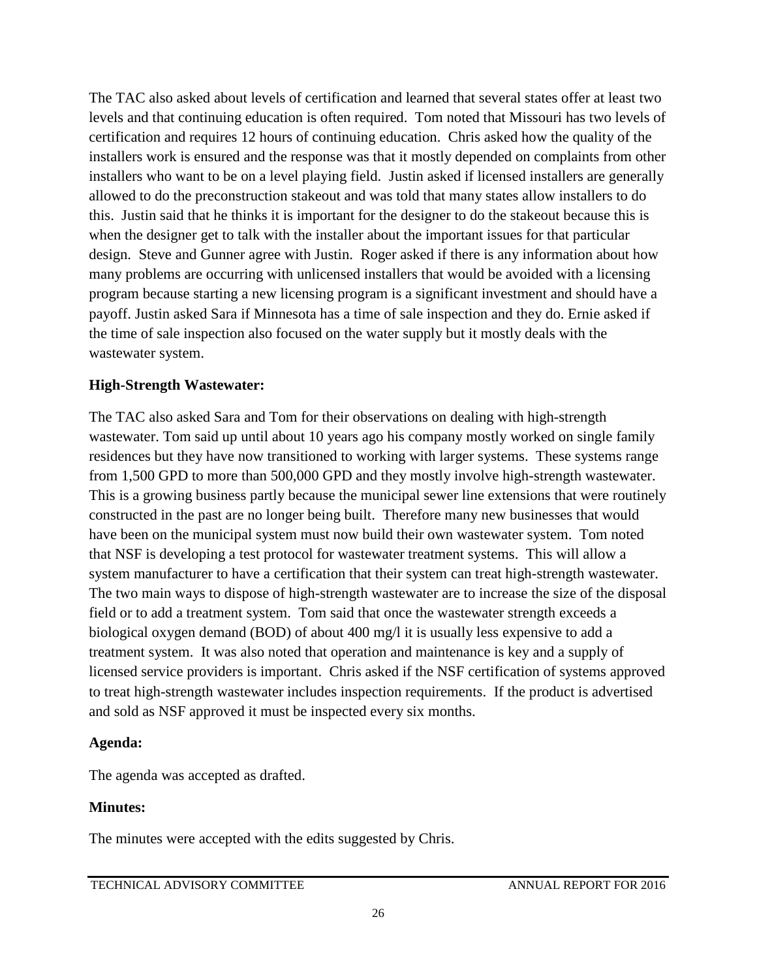The TAC also asked about levels of certification and learned that several states offer at least two levels and that continuing education is often required. Tom noted that Missouri has two levels of certification and requires 12 hours of continuing education. Chris asked how the quality of the installers work is ensured and the response was that it mostly depended on complaints from other installers who want to be on a level playing field. Justin asked if licensed installers are generally allowed to do the preconstruction stakeout and was told that many states allow installers to do this. Justin said that he thinks it is important for the designer to do the stakeout because this is when the designer get to talk with the installer about the important issues for that particular design. Steve and Gunner agree with Justin. Roger asked if there is any information about how many problems are occurring with unlicensed installers that would be avoided with a licensing program because starting a new licensing program is a significant investment and should have a payoff. Justin asked Sara if Minnesota has a time of sale inspection and they do. Ernie asked if the time of sale inspection also focused on the water supply but it mostly deals with the wastewater system.

#### **High-Strength Wastewater:**

The TAC also asked Sara and Tom for their observations on dealing with high-strength wastewater. Tom said up until about 10 years ago his company mostly worked on single family residences but they have now transitioned to working with larger systems. These systems range from 1,500 GPD to more than 500,000 GPD and they mostly involve high-strength wastewater. This is a growing business partly because the municipal sewer line extensions that were routinely constructed in the past are no longer being built. Therefore many new businesses that would have been on the municipal system must now build their own wastewater system. Tom noted that NSF is developing a test protocol for wastewater treatment systems. This will allow a system manufacturer to have a certification that their system can treat high-strength wastewater. The two main ways to dispose of high-strength wastewater are to increase the size of the disposal field or to add a treatment system. Tom said that once the wastewater strength exceeds a biological oxygen demand (BOD) of about 400 mg/l it is usually less expensive to add a treatment system. It was also noted that operation and maintenance is key and a supply of licensed service providers is important. Chris asked if the NSF certification of systems approved to treat high-strength wastewater includes inspection requirements. If the product is advertised and sold as NSF approved it must be inspected every six months.

#### **Agenda:**

The agenda was accepted as drafted.

#### **Minutes:**

The minutes were accepted with the edits suggested by Chris.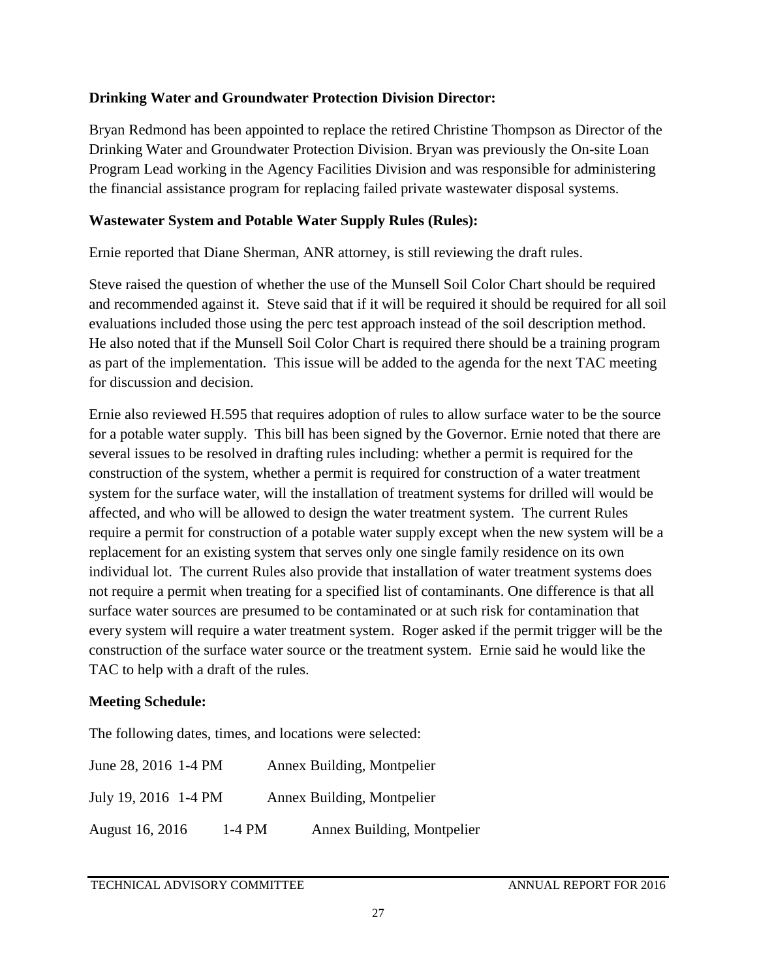#### **Drinking Water and Groundwater Protection Division Director:**

Bryan Redmond has been appointed to replace the retired Christine Thompson as Director of the Drinking Water and Groundwater Protection Division. Bryan was previously the On-site Loan Program Lead working in the Agency Facilities Division and was responsible for administering the financial assistance program for replacing failed private wastewater disposal systems.

#### **Wastewater System and Potable Water Supply Rules (Rules):**

Ernie reported that Diane Sherman, ANR attorney, is still reviewing the draft rules.

Steve raised the question of whether the use of the Munsell Soil Color Chart should be required and recommended against it. Steve said that if it will be required it should be required for all soil evaluations included those using the perc test approach instead of the soil description method. He also noted that if the Munsell Soil Color Chart is required there should be a training program as part of the implementation. This issue will be added to the agenda for the next TAC meeting for discussion and decision.

Ernie also reviewed H.595 that requires adoption of rules to allow surface water to be the source for a potable water supply. This bill has been signed by the Governor. Ernie noted that there are several issues to be resolved in drafting rules including: whether a permit is required for the construction of the system, whether a permit is required for construction of a water treatment system for the surface water, will the installation of treatment systems for drilled will would be affected, and who will be allowed to design the water treatment system. The current Rules require a permit for construction of a potable water supply except when the new system will be a replacement for an existing system that serves only one single family residence on its own individual lot. The current Rules also provide that installation of water treatment systems does not require a permit when treating for a specified list of contaminants. One difference is that all surface water sources are presumed to be contaminated or at such risk for contamination that every system will require a water treatment system. Roger asked if the permit trigger will be the construction of the surface water source or the treatment system. Ernie said he would like the TAC to help with a draft of the rules.

#### **Meeting Schedule:**

The following dates, times, and locations were selected:

| June 28, 2016 1-4 PM |        | Annex Building, Montpelier |
|----------------------|--------|----------------------------|
| July 19, 2016 1-4 PM |        | Annex Building, Montpelier |
| August 16, 2016      | 1-4 PM | Annex Building, Montpelier |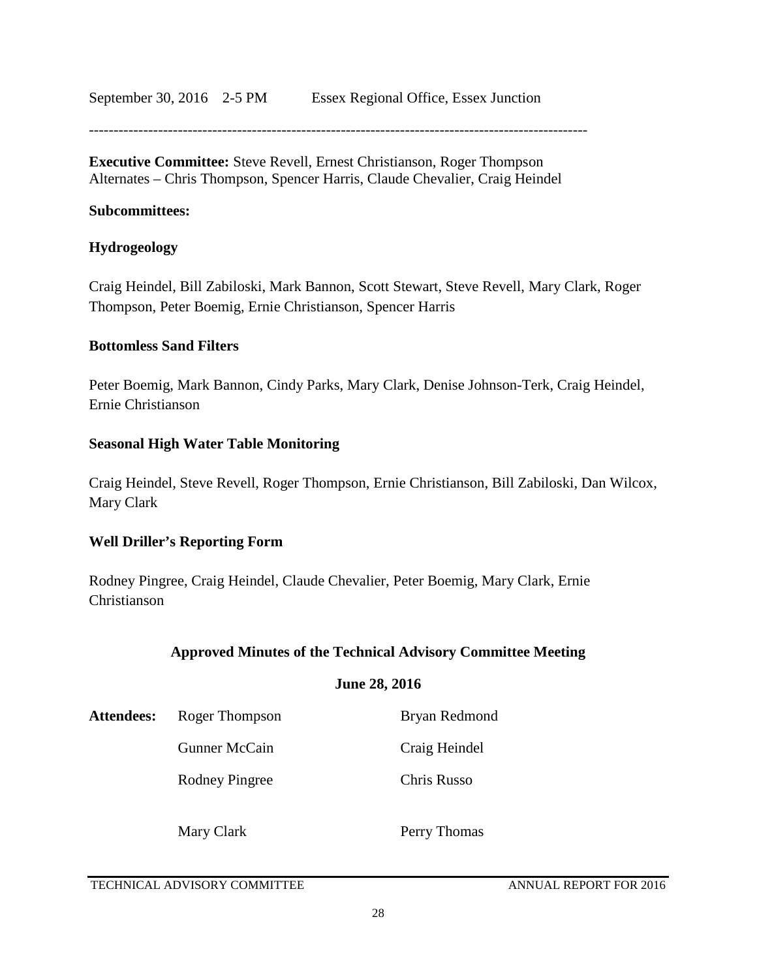September 30, 2016 2-5 PM Essex Regional Office, Essex Junction

**Executive Committee:** Steve Revell, Ernest Christianson, Roger Thompson Alternates – Chris Thompson, Spencer Harris, Claude Chevalier, Craig Heindel

#### **Subcommittees:**

#### **Hydrogeology**

Craig Heindel, Bill Zabiloski, Mark Bannon, Scott Stewart, Steve Revell, Mary Clark, Roger Thompson, Peter Boemig, Ernie Christianson, Spencer Harris

#### **Bottomless Sand Filters**

Peter Boemig, Mark Bannon, Cindy Parks, Mary Clark, Denise Johnson-Terk, Craig Heindel, Ernie Christianson

#### **Seasonal High Water Table Monitoring**

Craig Heindel, Steve Revell, Roger Thompson, Ernie Christianson, Bill Zabiloski, Dan Wilcox, Mary Clark

#### **Well Driller's Reporting Form**

Rodney Pingree, Craig Heindel, Claude Chevalier, Peter Boemig, Mary Clark, Ernie Christianson

#### **Approved Minutes of the Technical Advisory Committee Meeting**

#### **June 28, 2016**

| <b>Attendees:</b> | Roger Thompson | Bryan Redmond |  |
|-------------------|----------------|---------------|--|
|                   | Gunner McCain  | Craig Heindel |  |
|                   | Rodney Pingree | Chris Russo   |  |
|                   | Mary Clark     | Perry Thomas  |  |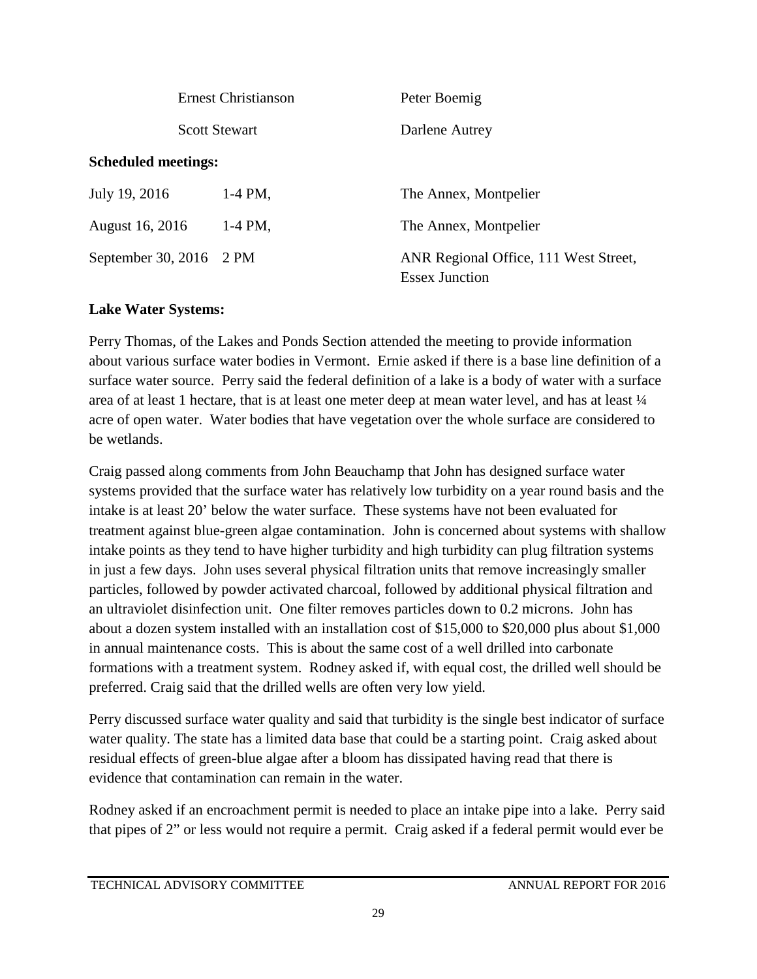| <b>Ernest Christianson</b> |                      | Peter Boemig                                                   |
|----------------------------|----------------------|----------------------------------------------------------------|
|                            | <b>Scott Stewart</b> | Darlene Autrey                                                 |
| <b>Scheduled meetings:</b> |                      |                                                                |
| July 19, 2016              | 1-4 PM,              | The Annex, Montpelier                                          |
| August 16, 2016            | $1-4$ PM,            | The Annex, Montpelier                                          |
| September 30, 2016 2 PM    |                      | ANR Regional Office, 111 West Street,<br><b>Essex Junction</b> |

#### **Lake Water Systems:**

Perry Thomas, of the Lakes and Ponds Section attended the meeting to provide information about various surface water bodies in Vermont. Ernie asked if there is a base line definition of a surface water source. Perry said the federal definition of a lake is a body of water with a surface area of at least 1 hectare, that is at least one meter deep at mean water level, and has at least  $\frac{1}{4}$ acre of open water. Water bodies that have vegetation over the whole surface are considered to be wetlands.

Craig passed along comments from John Beauchamp that John has designed surface water systems provided that the surface water has relatively low turbidity on a year round basis and the intake is at least 20' below the water surface. These systems have not been evaluated for treatment against blue-green algae contamination. John is concerned about systems with shallow intake points as they tend to have higher turbidity and high turbidity can plug filtration systems in just a few days. John uses several physical filtration units that remove increasingly smaller particles, followed by powder activated charcoal, followed by additional physical filtration and an ultraviolet disinfection unit. One filter removes particles down to 0.2 microns. John has about a dozen system installed with an installation cost of \$15,000 to \$20,000 plus about \$1,000 in annual maintenance costs. This is about the same cost of a well drilled into carbonate formations with a treatment system. Rodney asked if, with equal cost, the drilled well should be preferred. Craig said that the drilled wells are often very low yield.

Perry discussed surface water quality and said that turbidity is the single best indicator of surface water quality. The state has a limited data base that could be a starting point. Craig asked about residual effects of green-blue algae after a bloom has dissipated having read that there is evidence that contamination can remain in the water.

Rodney asked if an encroachment permit is needed to place an intake pipe into a lake. Perry said that pipes of 2" or less would not require a permit. Craig asked if a federal permit would ever be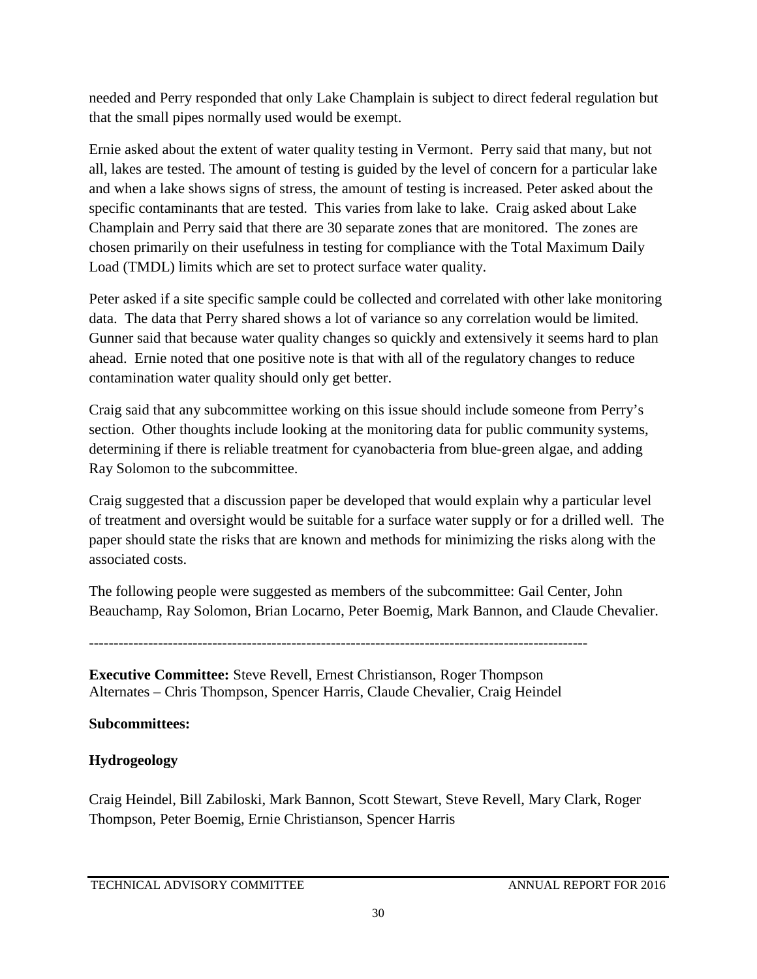needed and Perry responded that only Lake Champlain is subject to direct federal regulation but that the small pipes normally used would be exempt.

Ernie asked about the extent of water quality testing in Vermont. Perry said that many, but not all, lakes are tested. The amount of testing is guided by the level of concern for a particular lake and when a lake shows signs of stress, the amount of testing is increased. Peter asked about the specific contaminants that are tested. This varies from lake to lake. Craig asked about Lake Champlain and Perry said that there are 30 separate zones that are monitored. The zones are chosen primarily on their usefulness in testing for compliance with the Total Maximum Daily Load (TMDL) limits which are set to protect surface water quality.

Peter asked if a site specific sample could be collected and correlated with other lake monitoring data. The data that Perry shared shows a lot of variance so any correlation would be limited. Gunner said that because water quality changes so quickly and extensively it seems hard to plan ahead. Ernie noted that one positive note is that with all of the regulatory changes to reduce contamination water quality should only get better.

Craig said that any subcommittee working on this issue should include someone from Perry's section. Other thoughts include looking at the monitoring data for public community systems, determining if there is reliable treatment for cyanobacteria from blue-green algae, and adding Ray Solomon to the subcommittee.

Craig suggested that a discussion paper be developed that would explain why a particular level of treatment and oversight would be suitable for a surface water supply or for a drilled well. The paper should state the risks that are known and methods for minimizing the risks along with the associated costs.

The following people were suggested as members of the subcommittee: Gail Center, John Beauchamp, Ray Solomon, Brian Locarno, Peter Boemig, Mark Bannon, and Claude Chevalier.

-----------------------------------------------------------------------------------------------------

**Executive Committee:** Steve Revell, Ernest Christianson, Roger Thompson Alternates – Chris Thompson, Spencer Harris, Claude Chevalier, Craig Heindel

#### **Subcommittees:**

### **Hydrogeology**

Craig Heindel, Bill Zabiloski, Mark Bannon, Scott Stewart, Steve Revell, Mary Clark, Roger Thompson, Peter Boemig, Ernie Christianson, Spencer Harris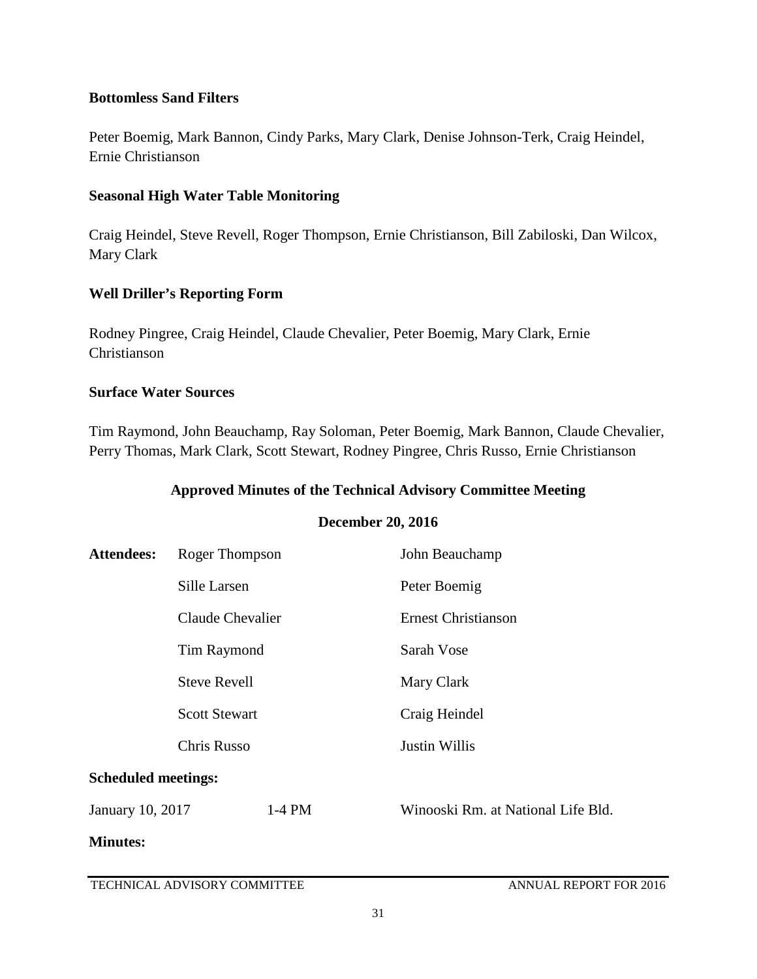#### **Bottomless Sand Filters**

Peter Boemig, Mark Bannon, Cindy Parks, Mary Clark, Denise Johnson-Terk, Craig Heindel, Ernie Christianson

#### **Seasonal High Water Table Monitoring**

Craig Heindel, Steve Revell, Roger Thompson, Ernie Christianson, Bill Zabiloski, Dan Wilcox, Mary Clark

#### **Well Driller's Reporting Form**

Rodney Pingree, Craig Heindel, Claude Chevalier, Peter Boemig, Mary Clark, Ernie Christianson

#### **Surface Water Sources**

Tim Raymond, John Beauchamp, Ray Soloman, Peter Boemig, Mark Bannon, Claude Chevalier, Perry Thomas, Mark Clark, Scott Stewart, Rodney Pingree, Chris Russo, Ernie Christianson

#### **Approved Minutes of the Technical Advisory Committee Meeting**

#### **December 20, 2016**

| Attendees:                 | Roger Thompson                                                            |          | John Beauchamp                            |  |
|----------------------------|---------------------------------------------------------------------------|----------|-------------------------------------------|--|
|                            | Sille Larsen                                                              |          | Peter Boemig                              |  |
|                            | Claude Chevalier                                                          |          | <b>Ernest Christianson</b>                |  |
|                            | Tim Raymond<br><b>Steve Revell</b><br><b>Scott Stewart</b><br>Chris Russo |          | Sarah Vose<br>Mary Clark<br>Craig Heindel |  |
|                            |                                                                           |          |                                           |  |
|                            |                                                                           |          |                                           |  |
|                            |                                                                           |          | <b>Justin Willis</b>                      |  |
| <b>Scheduled meetings:</b> |                                                                           |          |                                           |  |
| January 10, 2017           |                                                                           | $1-4$ PM | Winooski Rm. at National Life Bld.        |  |
| <b>Minutes:</b>            |                                                                           |          |                                           |  |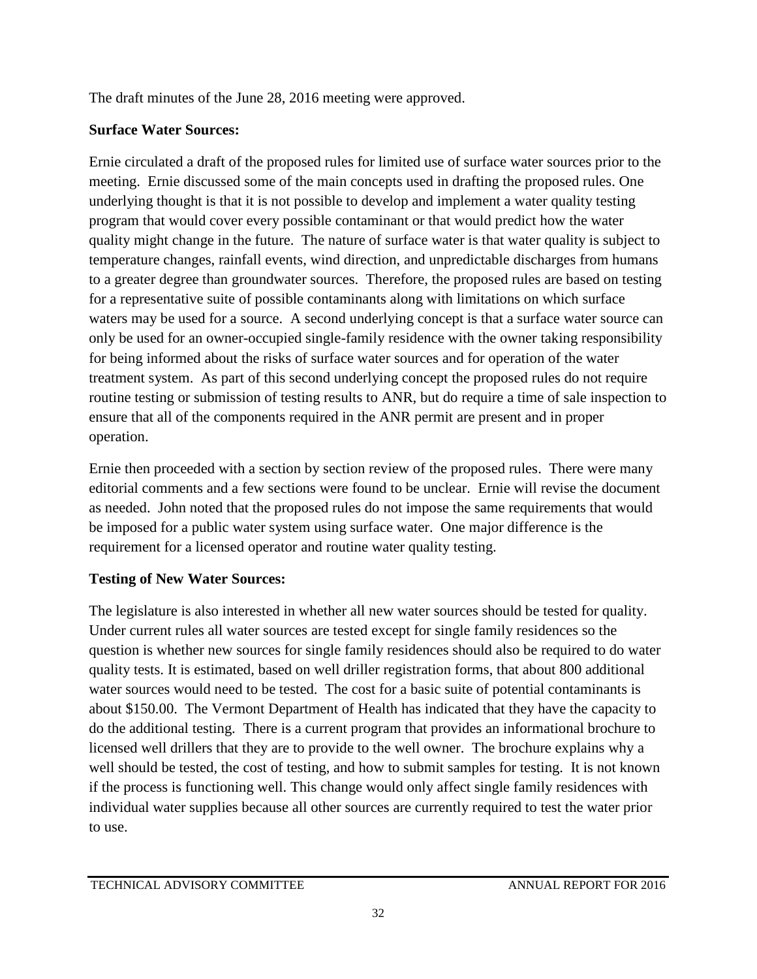The draft minutes of the June 28, 2016 meeting were approved.

### **Surface Water Sources:**

Ernie circulated a draft of the proposed rules for limited use of surface water sources prior to the meeting. Ernie discussed some of the main concepts used in drafting the proposed rules. One underlying thought is that it is not possible to develop and implement a water quality testing program that would cover every possible contaminant or that would predict how the water quality might change in the future. The nature of surface water is that water quality is subject to temperature changes, rainfall events, wind direction, and unpredictable discharges from humans to a greater degree than groundwater sources. Therefore, the proposed rules are based on testing for a representative suite of possible contaminants along with limitations on which surface waters may be used for a source. A second underlying concept is that a surface water source can only be used for an owner-occupied single-family residence with the owner taking responsibility for being informed about the risks of surface water sources and for operation of the water treatment system. As part of this second underlying concept the proposed rules do not require routine testing or submission of testing results to ANR, but do require a time of sale inspection to ensure that all of the components required in the ANR permit are present and in proper operation.

Ernie then proceeded with a section by section review of the proposed rules. There were many editorial comments and a few sections were found to be unclear. Ernie will revise the document as needed. John noted that the proposed rules do not impose the same requirements that would be imposed for a public water system using surface water. One major difference is the requirement for a licensed operator and routine water quality testing.

### **Testing of New Water Sources:**

The legislature is also interested in whether all new water sources should be tested for quality. Under current rules all water sources are tested except for single family residences so the question is whether new sources for single family residences should also be required to do water quality tests. It is estimated, based on well driller registration forms, that about 800 additional water sources would need to be tested. The cost for a basic suite of potential contaminants is about \$150.00. The Vermont Department of Health has indicated that they have the capacity to do the additional testing. There is a current program that provides an informational brochure to licensed well drillers that they are to provide to the well owner. The brochure explains why a well should be tested, the cost of testing, and how to submit samples for testing. It is not known if the process is functioning well. This change would only affect single family residences with individual water supplies because all other sources are currently required to test the water prior to use.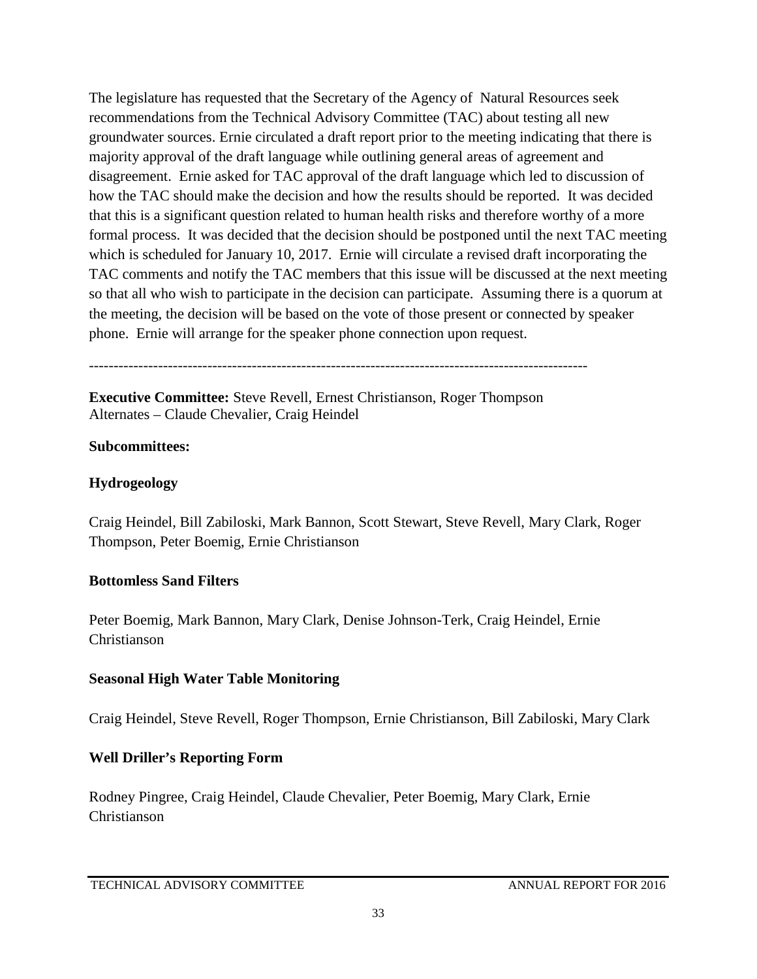The legislature has requested that the Secretary of the Agency of Natural Resources seek recommendations from the Technical Advisory Committee (TAC) about testing all new groundwater sources. Ernie circulated a draft report prior to the meeting indicating that there is majority approval of the draft language while outlining general areas of agreement and disagreement. Ernie asked for TAC approval of the draft language which led to discussion of how the TAC should make the decision and how the results should be reported. It was decided that this is a significant question related to human health risks and therefore worthy of a more formal process. It was decided that the decision should be postponed until the next TAC meeting which is scheduled for January 10, 2017. Ernie will circulate a revised draft incorporating the TAC comments and notify the TAC members that this issue will be discussed at the next meeting so that all who wish to participate in the decision can participate. Assuming there is a quorum at the meeting, the decision will be based on the vote of those present or connected by speaker phone. Ernie will arrange for the speaker phone connection upon request.

-----------------------------------------------------------------------------------------------------

**Executive Committee:** Steve Revell, Ernest Christianson, Roger Thompson Alternates – Claude Chevalier, Craig Heindel

#### **Subcommittees:**

#### **Hydrogeology**

Craig Heindel, Bill Zabiloski, Mark Bannon, Scott Stewart, Steve Revell, Mary Clark, Roger Thompson, Peter Boemig, Ernie Christianson

#### **Bottomless Sand Filters**

Peter Boemig, Mark Bannon, Mary Clark, Denise Johnson-Terk, Craig Heindel, Ernie Christianson

#### **Seasonal High Water Table Monitoring**

Craig Heindel, Steve Revell, Roger Thompson, Ernie Christianson, Bill Zabiloski, Mary Clark

#### **Well Driller's Reporting Form**

Rodney Pingree, Craig Heindel, Claude Chevalier, Peter Boemig, Mary Clark, Ernie Christianson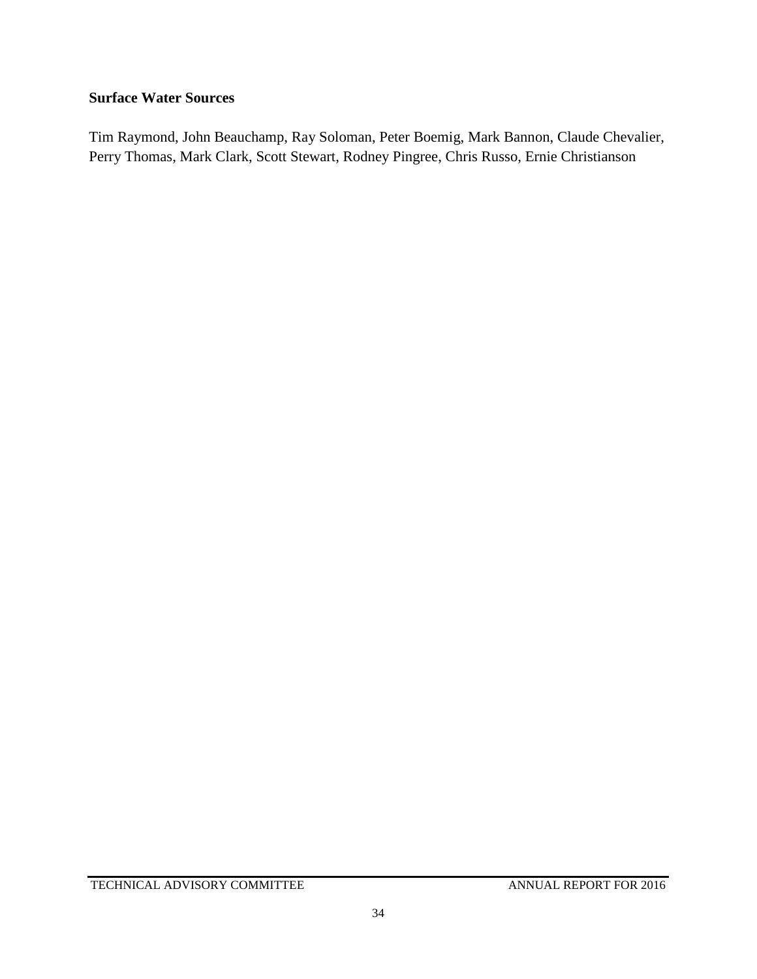### **Surface Water Sources**

Tim Raymond, John Beauchamp, Ray Soloman, Peter Boemig, Mark Bannon, Claude Chevalier, Perry Thomas, Mark Clark, Scott Stewart, Rodney Pingree, Chris Russo, Ernie Christianson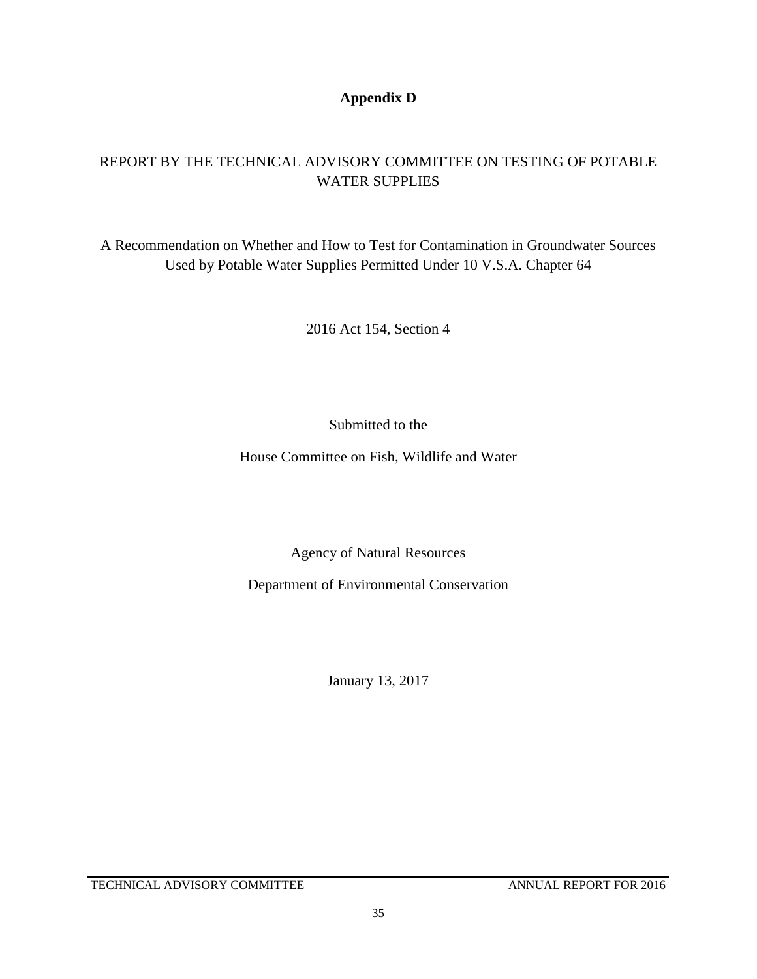#### **Appendix D**

### REPORT BY THE TECHNICAL ADVISORY COMMITTEE ON TESTING OF POTABLE WATER SUPPLIES

A Recommendation on Whether and How to Test for Contamination in Groundwater Sources Used by Potable Water Supplies Permitted Under 10 V.S.A. Chapter 64

2016 Act 154, Section 4

Submitted to the

House Committee on Fish, Wildlife and Water

Agency of Natural Resources

Department of Environmental Conservation

January 13, 2017

TECHNICAL ADVISORY COMMITTEE ANNUAL REPORT FOR 2016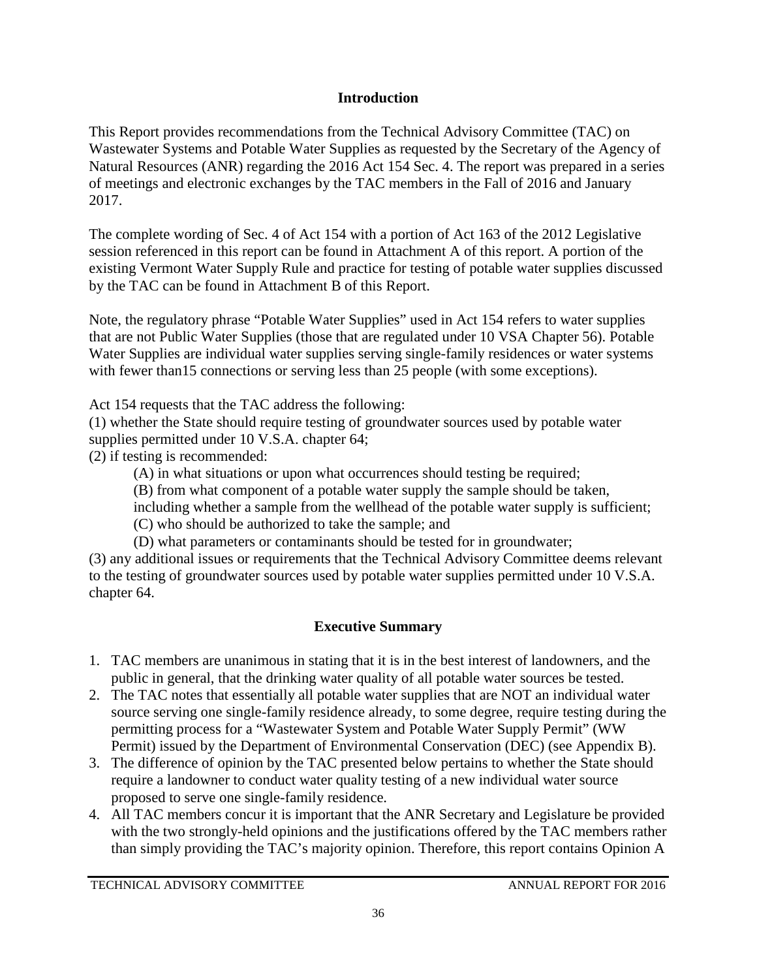#### **Introduction**

This Report provides recommendations from the Technical Advisory Committee (TAC) on Wastewater Systems and Potable Water Supplies as requested by the Secretary of the Agency of Natural Resources (ANR) regarding the 2016 Act 154 Sec. 4. The report was prepared in a series of meetings and electronic exchanges by the TAC members in the Fall of 2016 and January 2017.

The complete wording of Sec. 4 of Act 154 with a portion of Act 163 of the 2012 Legislative session referenced in this report can be found in Attachment A of this report. A portion of the existing Vermont Water Supply Rule and practice for testing of potable water supplies discussed by the TAC can be found in Attachment B of this Report.

Note, the regulatory phrase "Potable Water Supplies" used in Act 154 refers to water supplies that are not Public Water Supplies (those that are regulated under 10 VSA Chapter 56). Potable Water Supplies are individual water supplies serving single-family residences or water systems with fewer than 15 connections or serving less than 25 people (with some exceptions).

Act 154 requests that the TAC address the following:

(1) whether the State should require testing of groundwater sources used by potable water supplies permitted under 10 V.S.A. chapter 64;

(2) if testing is recommended:

(A) in what situations or upon what occurrences should testing be required;

(B) from what component of a potable water supply the sample should be taken,

including whether a sample from the wellhead of the potable water supply is sufficient;

(C) who should be authorized to take the sample; and

(D) what parameters or contaminants should be tested for in groundwater;

(3) any additional issues or requirements that the Technical Advisory Committee deems relevant to the testing of groundwater sources used by potable water supplies permitted under 10 V.S.A. chapter 64.

### **Executive Summary**

- 1. TAC members are unanimous in stating that it is in the best interest of landowners, and the public in general, that the drinking water quality of all potable water sources be tested.
- 2. The TAC notes that essentially all potable water supplies that are NOT an individual water source serving one single-family residence already, to some degree, require testing during the permitting process for a "Wastewater System and Potable Water Supply Permit" (WW Permit) issued by the Department of Environmental Conservation (DEC) (see Appendix B).
- 3. The difference of opinion by the TAC presented below pertains to whether the State should require a landowner to conduct water quality testing of a new individual water source proposed to serve one single-family residence.
- 4. All TAC members concur it is important that the ANR Secretary and Legislature be provided with the two strongly-held opinions and the justifications offered by the TAC members rather than simply providing the TAC's majority opinion. Therefore, this report contains Opinion A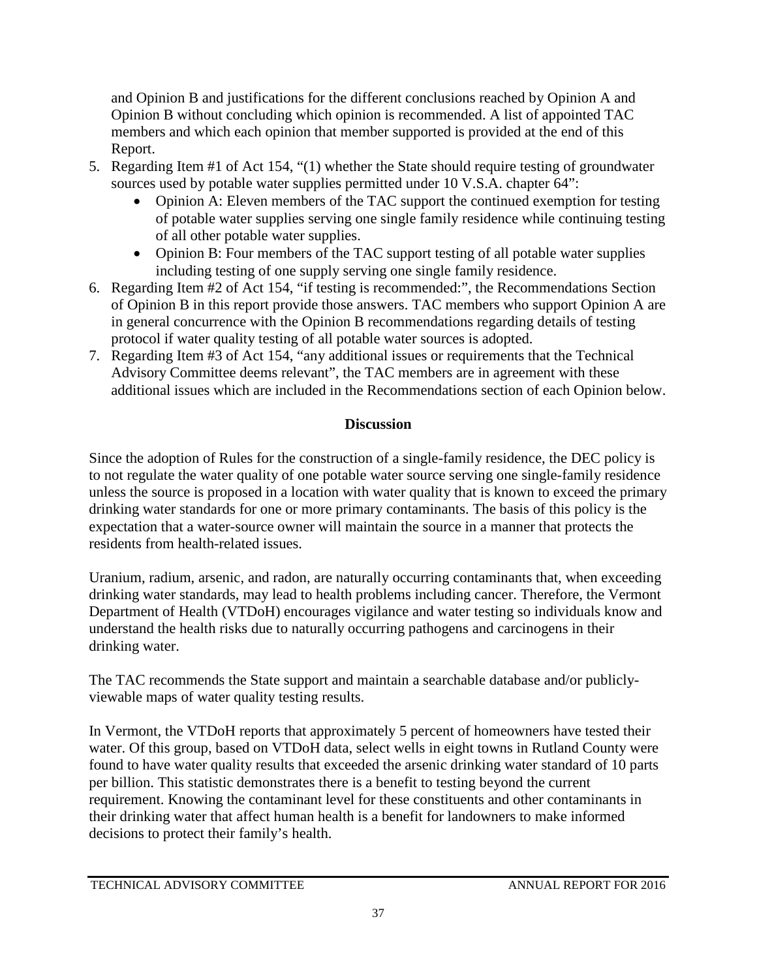and Opinion B and justifications for the different conclusions reached by Opinion A and Opinion B without concluding which opinion is recommended. A list of appointed TAC members and which each opinion that member supported is provided at the end of this Report.

- 5. Regarding Item #1 of Act 154, "(1) whether the State should require testing of groundwater sources used by potable water supplies permitted under 10 V.S.A. chapter 64":
	- Opinion A: Eleven members of the TAC support the continued exemption for testing of potable water supplies serving one single family residence while continuing testing of all other potable water supplies.
	- Opinion B: Four members of the TAC support testing of all potable water supplies including testing of one supply serving one single family residence.
- 6. Regarding Item #2 of Act 154, "if testing is recommended:", the Recommendations Section of Opinion B in this report provide those answers. TAC members who support Opinion A are in general concurrence with the Opinion B recommendations regarding details of testing protocol if water quality testing of all potable water sources is adopted.
- 7. Regarding Item #3 of Act 154, "any additional issues or requirements that the Technical Advisory Committee deems relevant", the TAC members are in agreement with these additional issues which are included in the Recommendations section of each Opinion below.

### **Discussion**

Since the adoption of Rules for the construction of a single-family residence, the DEC policy is to not regulate the water quality of one potable water source serving one single-family residence unless the source is proposed in a location with water quality that is known to exceed the primary drinking water standards for one or more primary contaminants. The basis of this policy is the expectation that a water-source owner will maintain the source in a manner that protects the residents from health-related issues.

Uranium, radium, arsenic, and radon, are naturally occurring contaminants that, when exceeding drinking water standards, may lead to health problems including cancer. Therefore, the Vermont Department of Health (VTDoH) encourages vigilance and water testing so individuals know and understand the health risks due to naturally occurring pathogens and carcinogens in their drinking water.

The TAC recommends the State support and maintain a searchable database and/or publiclyviewable maps of water quality testing results.

In Vermont, the VTDoH reports that approximately 5 percent of homeowners have tested their water. Of this group, based on VTDoH data, select wells in eight towns in Rutland County were found to have water quality results that exceeded the arsenic drinking water standard of 10 parts per billion. This statistic demonstrates there is a benefit to testing beyond the current requirement. Knowing the contaminant level for these constituents and other contaminants in their drinking water that affect human health is a benefit for landowners to make informed decisions to protect their family's health.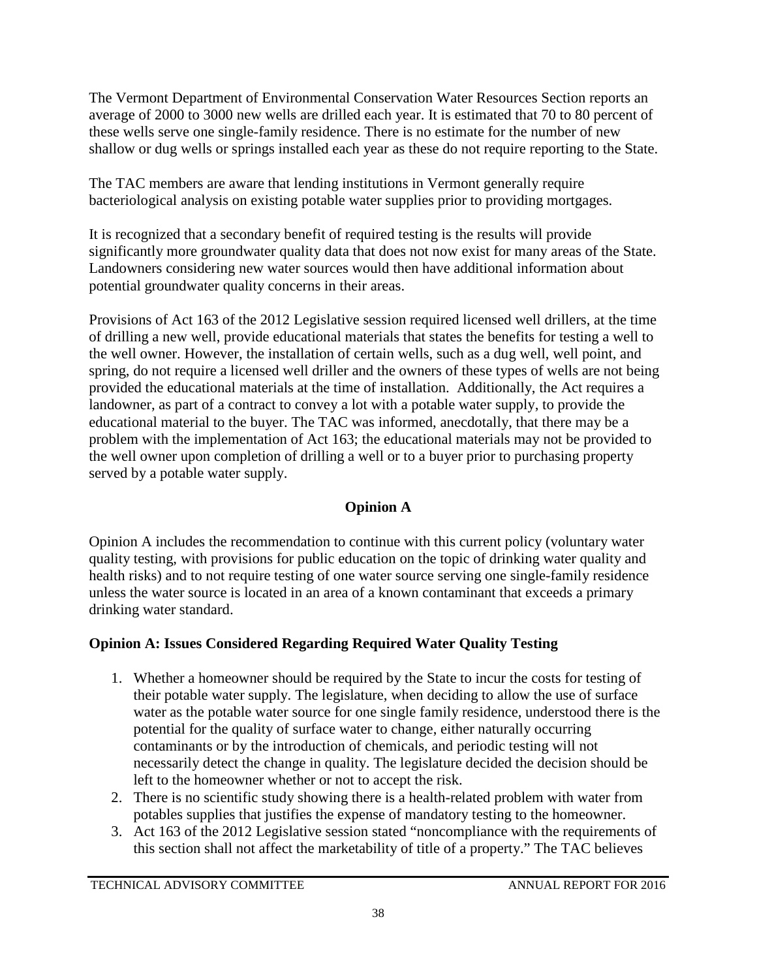The Vermont Department of Environmental Conservation Water Resources Section reports an average of 2000 to 3000 new wells are drilled each year. It is estimated that 70 to 80 percent of these wells serve one single-family residence. There is no estimate for the number of new shallow or dug wells or springs installed each year as these do not require reporting to the State.

The TAC members are aware that lending institutions in Vermont generally require bacteriological analysis on existing potable water supplies prior to providing mortgages.

It is recognized that a secondary benefit of required testing is the results will provide significantly more groundwater quality data that does not now exist for many areas of the State. Landowners considering new water sources would then have additional information about potential groundwater quality concerns in their areas.

Provisions of Act 163 of the 2012 Legislative session required licensed well drillers, at the time of drilling a new well, provide educational materials that states the benefits for testing a well to the well owner. However, the installation of certain wells, such as a dug well, well point, and spring, do not require a licensed well driller and the owners of these types of wells are not being provided the educational materials at the time of installation. Additionally, the Act requires a landowner, as part of a contract to convey a lot with a potable water supply, to provide the educational material to the buyer. The TAC was informed, anecdotally, that there may be a problem with the implementation of Act 163; the educational materials may not be provided to the well owner upon completion of drilling a well or to a buyer prior to purchasing property served by a potable water supply.

### **Opinion A**

Opinion A includes the recommendation to continue with this current policy (voluntary water quality testing, with provisions for public education on the topic of drinking water quality and health risks) and to not require testing of one water source serving one single-family residence unless the water source is located in an area of a known contaminant that exceeds a primary drinking water standard.

### **Opinion A: Issues Considered Regarding Required Water Quality Testing**

- 1. Whether a homeowner should be required by the State to incur the costs for testing of their potable water supply. The legislature, when deciding to allow the use of surface water as the potable water source for one single family residence, understood there is the potential for the quality of surface water to change, either naturally occurring contaminants or by the introduction of chemicals, and periodic testing will not necessarily detect the change in quality. The legislature decided the decision should be left to the homeowner whether or not to accept the risk.
- 2. There is no scientific study showing there is a health-related problem with water from potables supplies that justifies the expense of mandatory testing to the homeowner.
- 3. Act 163 of the 2012 Legislative session stated "noncompliance with the requirements of this section shall not affect the marketability of title of a property." The TAC believes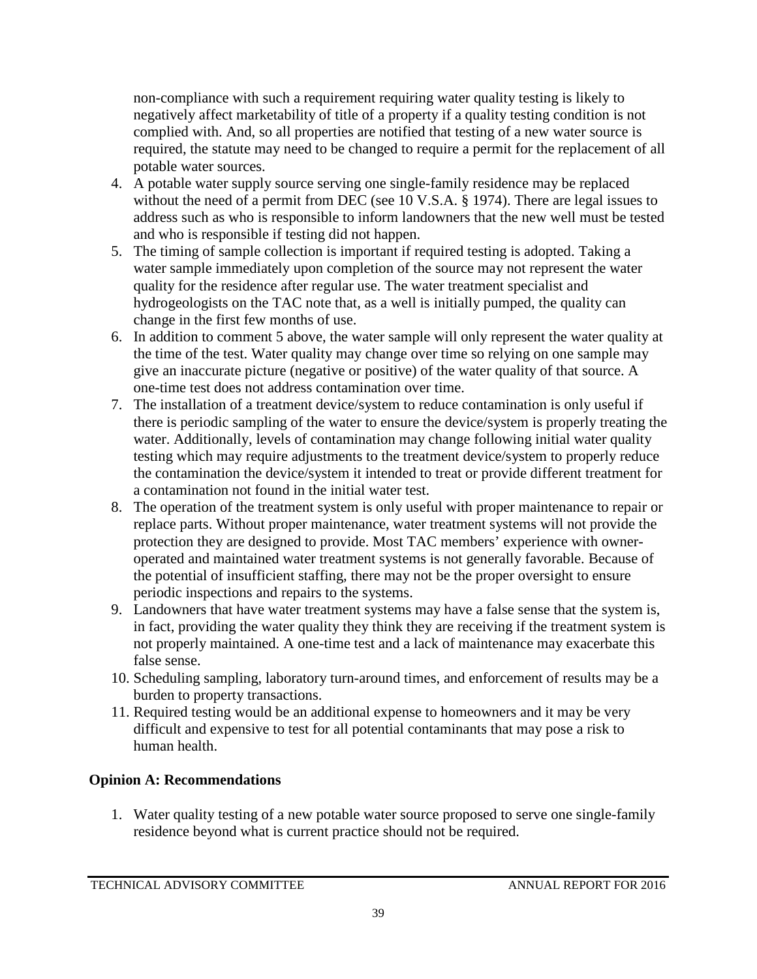non-compliance with such a requirement requiring water quality testing is likely to negatively affect marketability of title of a property if a quality testing condition is not complied with. And, so all properties are notified that testing of a new water source is required, the statute may need to be changed to require a permit for the replacement of all potable water sources.

- 4. A potable water supply source serving one single-family residence may be replaced without the need of a permit from DEC (see 10 V.S.A. § 1974). There are legal issues to address such as who is responsible to inform landowners that the new well must be tested and who is responsible if testing did not happen.
- 5. The timing of sample collection is important if required testing is adopted. Taking a water sample immediately upon completion of the source may not represent the water quality for the residence after regular use. The water treatment specialist and hydrogeologists on the TAC note that, as a well is initially pumped, the quality can change in the first few months of use.
- 6. In addition to comment 5 above, the water sample will only represent the water quality at the time of the test. Water quality may change over time so relying on one sample may give an inaccurate picture (negative or positive) of the water quality of that source. A one-time test does not address contamination over time.
- 7. The installation of a treatment device/system to reduce contamination is only useful if there is periodic sampling of the water to ensure the device/system is properly treating the water. Additionally, levels of contamination may change following initial water quality testing which may require adjustments to the treatment device/system to properly reduce the contamination the device/system it intended to treat or provide different treatment for a contamination not found in the initial water test.
- 8. The operation of the treatment system is only useful with proper maintenance to repair or replace parts. Without proper maintenance, water treatment systems will not provide the protection they are designed to provide. Most TAC members' experience with owneroperated and maintained water treatment systems is not generally favorable. Because of the potential of insufficient staffing, there may not be the proper oversight to ensure periodic inspections and repairs to the systems.
- 9. Landowners that have water treatment systems may have a false sense that the system is, in fact, providing the water quality they think they are receiving if the treatment system is not properly maintained. A one-time test and a lack of maintenance may exacerbate this false sense.
- 10. Scheduling sampling, laboratory turn-around times, and enforcement of results may be a burden to property transactions.
- 11. Required testing would be an additional expense to homeowners and it may be very difficult and expensive to test for all potential contaminants that may pose a risk to human health.

### **Opinion A: Recommendations**

1. Water quality testing of a new potable water source proposed to serve one single-family residence beyond what is current practice should not be required.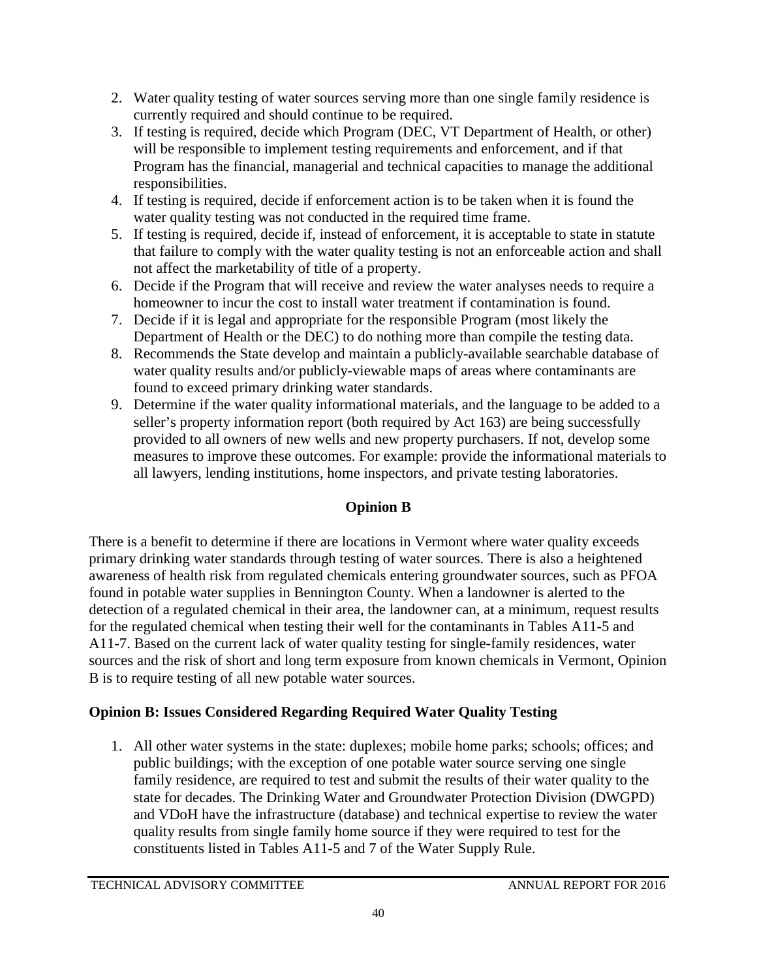- 2. Water quality testing of water sources serving more than one single family residence is currently required and should continue to be required.
- 3. If testing is required, decide which Program (DEC, VT Department of Health, or other) will be responsible to implement testing requirements and enforcement, and if that Program has the financial, managerial and technical capacities to manage the additional responsibilities.
- 4. If testing is required, decide if enforcement action is to be taken when it is found the water quality testing was not conducted in the required time frame.
- 5. If testing is required, decide if, instead of enforcement, it is acceptable to state in statute that failure to comply with the water quality testing is not an enforceable action and shall not affect the marketability of title of a property.
- 6. Decide if the Program that will receive and review the water analyses needs to require a homeowner to incur the cost to install water treatment if contamination is found.
- 7. Decide if it is legal and appropriate for the responsible Program (most likely the Department of Health or the DEC) to do nothing more than compile the testing data.
- 8. Recommends the State develop and maintain a publicly-available searchable database of water quality results and/or publicly-viewable maps of areas where contaminants are found to exceed primary drinking water standards.
- 9. Determine if the water quality informational materials, and the language to be added to a seller's property information report (both required by Act 163) are being successfully provided to all owners of new wells and new property purchasers. If not, develop some measures to improve these outcomes. For example: provide the informational materials to all lawyers, lending institutions, home inspectors, and private testing laboratories.

### **Opinion B**

There is a benefit to determine if there are locations in Vermont where water quality exceeds primary drinking water standards through testing of water sources. There is also a heightened awareness of health risk from regulated chemicals entering groundwater sources, such as PFOA found in potable water supplies in Bennington County. When a landowner is alerted to the detection of a regulated chemical in their area, the landowner can, at a minimum, request results for the regulated chemical when testing their well for the contaminants in Tables A11-5 and A11-7. Based on the current lack of water quality testing for single-family residences, water sources and the risk of short and long term exposure from known chemicals in Vermont, Opinion B is to require testing of all new potable water sources.

### **Opinion B: Issues Considered Regarding Required Water Quality Testing**

1. All other water systems in the state: duplexes; mobile home parks; schools; offices; and public buildings; with the exception of one potable water source serving one single family residence, are required to test and submit the results of their water quality to the state for decades. The Drinking Water and Groundwater Protection Division (DWGPD) and VDoH have the infrastructure (database) and technical expertise to review the water quality results from single family home source if they were required to test for the constituents listed in Tables A11-5 and 7 of the Water Supply Rule.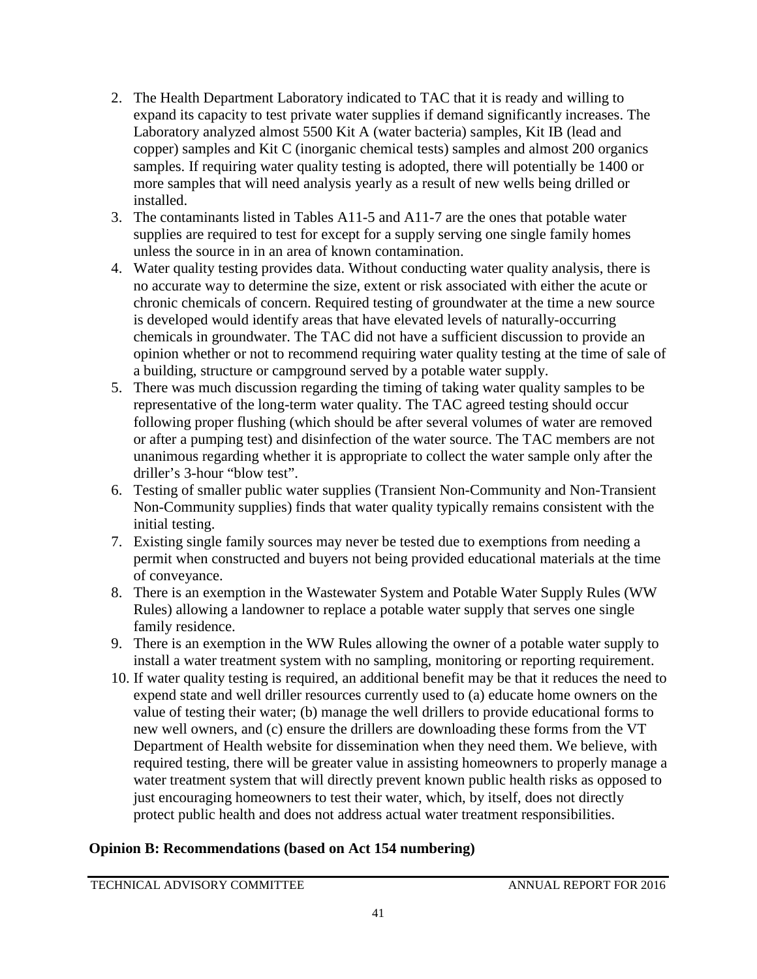- 2. The Health Department Laboratory indicated to TAC that it is ready and willing to expand its capacity to test private water supplies if demand significantly increases. The Laboratory analyzed almost 5500 Kit A (water bacteria) samples, Kit IB (lead and copper) samples and Kit C (inorganic chemical tests) samples and almost 200 organics samples. If requiring water quality testing is adopted, there will potentially be 1400 or more samples that will need analysis yearly as a result of new wells being drilled or installed.
- 3. The contaminants listed in Tables A11-5 and A11-7 are the ones that potable water supplies are required to test for except for a supply serving one single family homes unless the source in in an area of known contamination.
- 4. Water quality testing provides data. Without conducting water quality analysis, there is no accurate way to determine the size, extent or risk associated with either the acute or chronic chemicals of concern. Required testing of groundwater at the time a new source is developed would identify areas that have elevated levels of naturally-occurring chemicals in groundwater. The TAC did not have a sufficient discussion to provide an opinion whether or not to recommend requiring water quality testing at the time of sale of a building, structure or campground served by a potable water supply.
- 5. There was much discussion regarding the timing of taking water quality samples to be representative of the long-term water quality. The TAC agreed testing should occur following proper flushing (which should be after several volumes of water are removed or after a pumping test) and disinfection of the water source. The TAC members are not unanimous regarding whether it is appropriate to collect the water sample only after the driller's 3-hour "blow test".
- 6. Testing of smaller public water supplies (Transient Non-Community and Non-Transient Non-Community supplies) finds that water quality typically remains consistent with the initial testing.
- 7. Existing single family sources may never be tested due to exemptions from needing a permit when constructed and buyers not being provided educational materials at the time of conveyance.
- 8. There is an exemption in the Wastewater System and Potable Water Supply Rules (WW Rules) allowing a landowner to replace a potable water supply that serves one single family residence.
- 9. There is an exemption in the WW Rules allowing the owner of a potable water supply to install a water treatment system with no sampling, monitoring or reporting requirement.
- 10. If water quality testing is required, an additional benefit may be that it reduces the need to expend state and well driller resources currently used to (a) educate home owners on the value of testing their water; (b) manage the well drillers to provide educational forms to new well owners, and (c) ensure the drillers are downloading these forms from the VT Department of Health website for dissemination when they need them. We believe, with required testing, there will be greater value in assisting homeowners to properly manage a water treatment system that will directly prevent known public health risks as opposed to just encouraging homeowners to test their water, which, by itself, does not directly protect public health and does not address actual water treatment responsibilities.

#### **Opinion B: Recommendations (based on Act 154 numbering)**

TECHNICAL ADVISORY COMMITTEE ANNUAL REPORT FOR 2016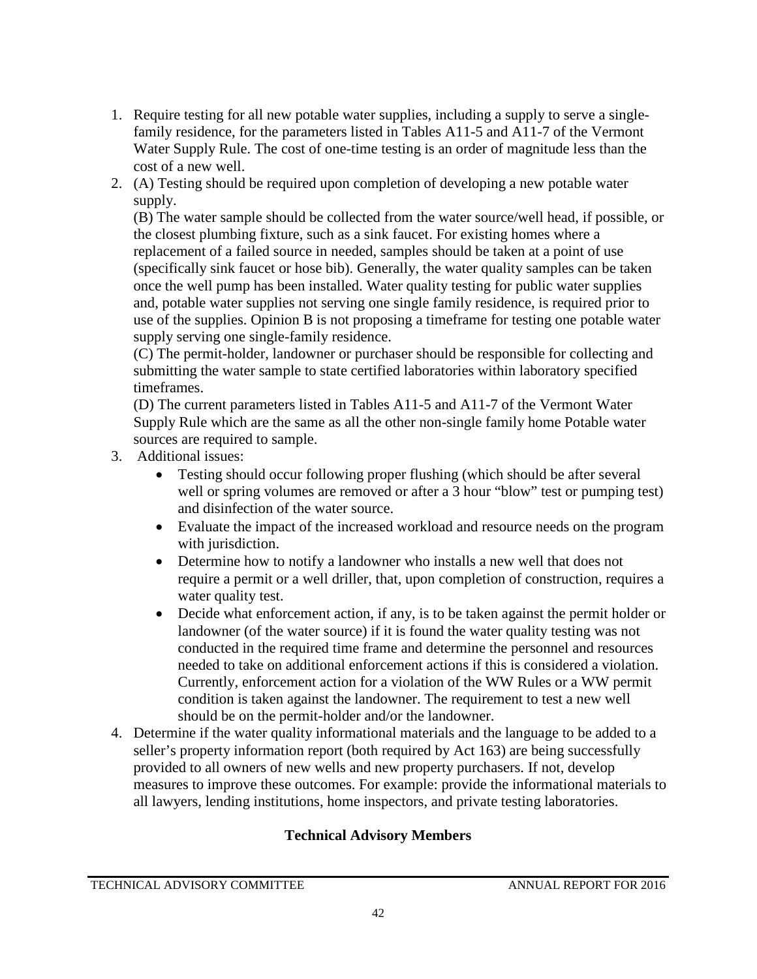- 1. Require testing for all new potable water supplies, including a supply to serve a singlefamily residence, for the parameters listed in Tables A11-5 and A11-7 of the Vermont Water Supply Rule. The cost of one-time testing is an order of magnitude less than the cost of a new well.
- 2. (A) Testing should be required upon completion of developing a new potable water supply.

(B) The water sample should be collected from the water source/well head, if possible, or the closest plumbing fixture, such as a sink faucet. For existing homes where a replacement of a failed source in needed, samples should be taken at a point of use (specifically sink faucet or hose bib). Generally, the water quality samples can be taken once the well pump has been installed. Water quality testing for public water supplies and, potable water supplies not serving one single family residence, is required prior to use of the supplies. Opinion B is not proposing a timeframe for testing one potable water supply serving one single-family residence.

(C) The permit-holder, landowner or purchaser should be responsible for collecting and submitting the water sample to state certified laboratories within laboratory specified timeframes.

(D) The current parameters listed in Tables A11-5 and A11-7 of the Vermont Water Supply Rule which are the same as all the other non-single family home Potable water sources are required to sample.

- 3. Additional issues:
	- Testing should occur following proper flushing (which should be after several well or spring volumes are removed or after a 3 hour "blow" test or pumping test) and disinfection of the water source.
	- Evaluate the impact of the increased workload and resource needs on the program with jurisdiction.
	- Determine how to notify a landowner who installs a new well that does not require a permit or a well driller, that, upon completion of construction, requires a water quality test.
	- Decide what enforcement action, if any, is to be taken against the permit holder or landowner (of the water source) if it is found the water quality testing was not conducted in the required time frame and determine the personnel and resources needed to take on additional enforcement actions if this is considered a violation. Currently, enforcement action for a violation of the WW Rules or a WW permit condition is taken against the landowner. The requirement to test a new well should be on the permit-holder and/or the landowner.
- 4. Determine if the water quality informational materials and the language to be added to a seller's property information report (both required by Act 163) are being successfully provided to all owners of new wells and new property purchasers. If not, develop measures to improve these outcomes. For example: provide the informational materials to all lawyers, lending institutions, home inspectors, and private testing laboratories.

#### **Technical Advisory Members**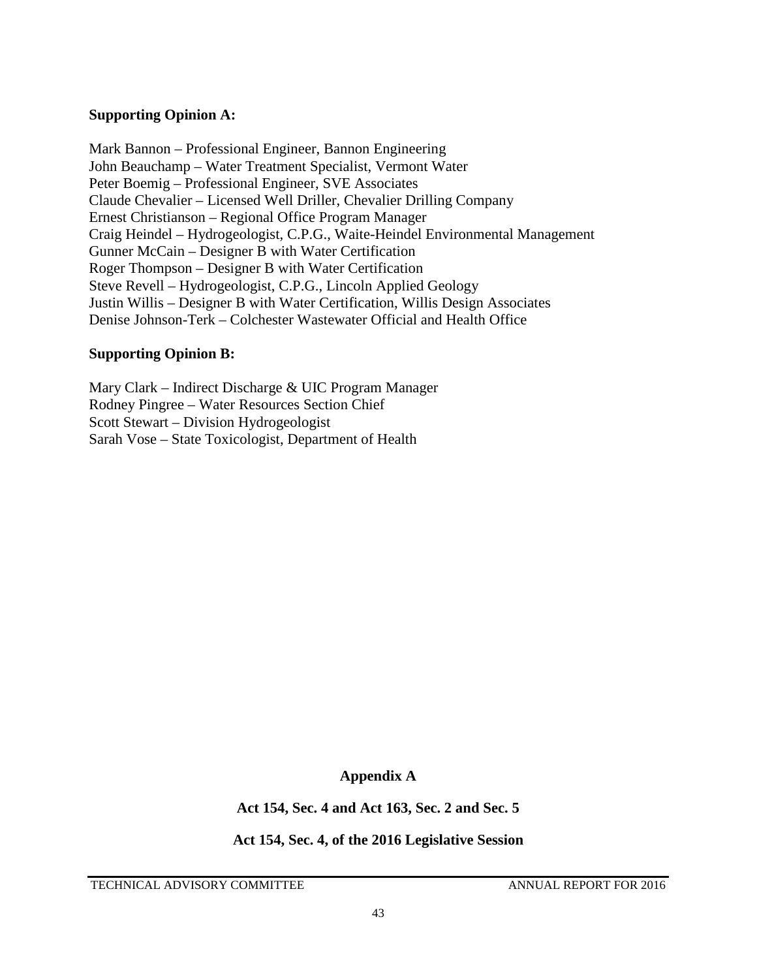#### **Supporting Opinion A:**

Mark Bannon – Professional Engineer, Bannon Engineering John Beauchamp – Water Treatment Specialist, Vermont Water Peter Boemig – Professional Engineer, SVE Associates Claude Chevalier – Licensed Well Driller, Chevalier Drilling Company Ernest Christianson – Regional Office Program Manager Craig Heindel – Hydrogeologist, C.P.G., Waite-Heindel Environmental Management Gunner McCain – Designer B with Water Certification Roger Thompson – Designer B with Water Certification Steve Revell – Hydrogeologist, C.P.G., Lincoln Applied Geology Justin Willis – Designer B with Water Certification, Willis Design Associates Denise Johnson-Terk – Colchester Wastewater Official and Health Office

#### **Supporting Opinion B:**

Mary Clark – Indirect Discharge & UIC Program Manager Rodney Pingree – Water Resources Section Chief Scott Stewart – Division Hydrogeologist Sarah Vose – State Toxicologist, Department of Health

**Appendix A** 

**Act 154, Sec. 4 and Act 163, Sec. 2 and Sec. 5**

**Act 154, Sec. 4, of the 2016 Legislative Session**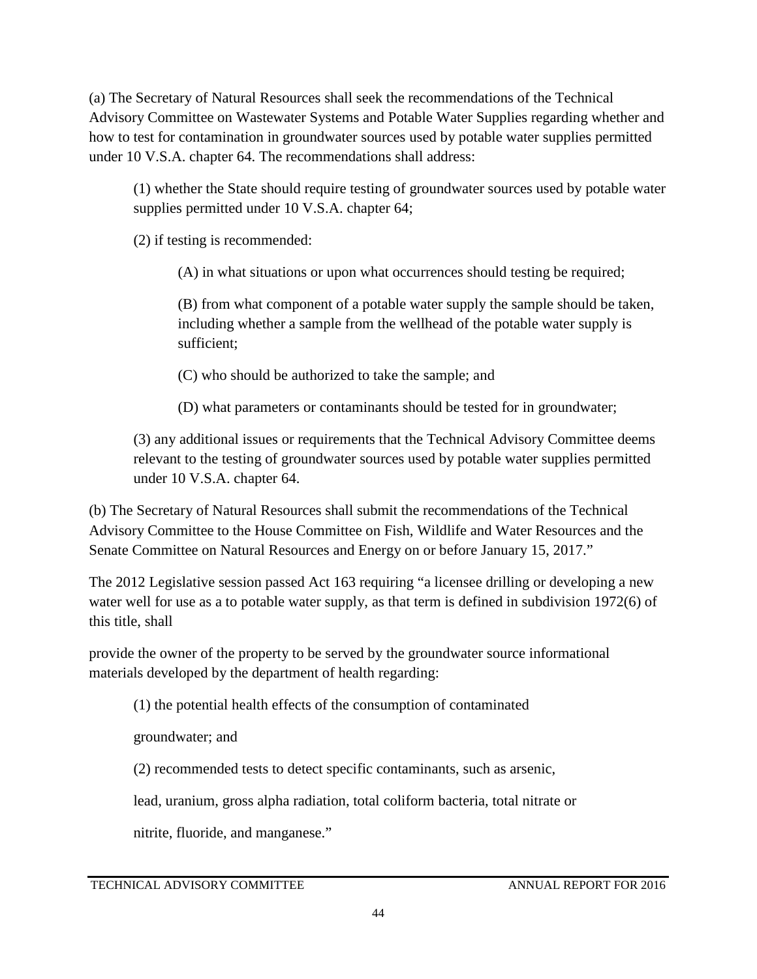(a) The Secretary of Natural Resources shall seek the recommendations of the Technical Advisory Committee on Wastewater Systems and Potable Water Supplies regarding whether and how to test for contamination in groundwater sources used by potable water supplies permitted under 10 V.S.A. chapter 64. The recommendations shall address:

(1) whether the State should require testing of groundwater sources used by potable water supplies permitted under 10 V.S.A. chapter 64;

(2) if testing is recommended:

(A) in what situations or upon what occurrences should testing be required;

(B) from what component of a potable water supply the sample should be taken, including whether a sample from the wellhead of the potable water supply is sufficient;

(C) who should be authorized to take the sample; and

(D) what parameters or contaminants should be tested for in groundwater;

(3) any additional issues or requirements that the Technical Advisory Committee deems relevant to the testing of groundwater sources used by potable water supplies permitted under 10 V.S.A. chapter 64.

(b) The Secretary of Natural Resources shall submit the recommendations of the Technical Advisory Committee to the House Committee on Fish, Wildlife and Water Resources and the Senate Committee on Natural Resources and Energy on or before January 15, 2017."

The 2012 Legislative session passed Act 163 requiring "a licensee drilling or developing a new water well for use as a to potable water supply, as that term is defined in subdivision 1972(6) of this title, shall

provide the owner of the property to be served by the groundwater source informational materials developed by the department of health regarding:

(1) the potential health effects of the consumption of contaminated

groundwater; and

(2) recommended tests to detect specific contaminants, such as arsenic,

lead, uranium, gross alpha radiation, total coliform bacteria, total nitrate or

nitrite, fluoride, and manganese."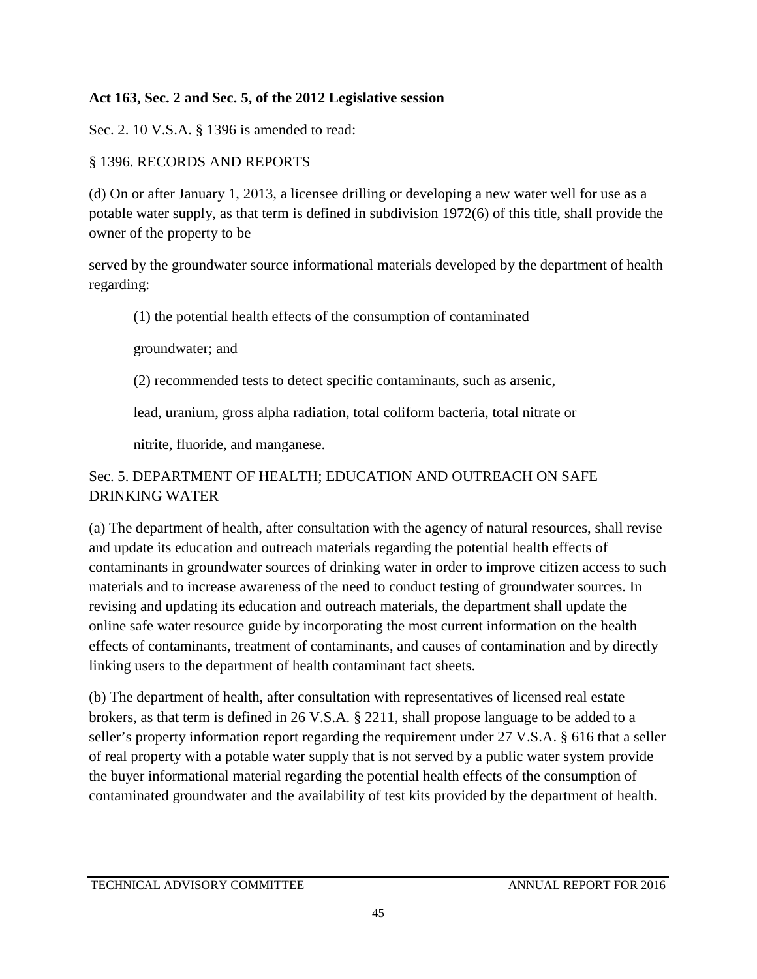### **Act 163, Sec. 2 and Sec. 5, of the 2012 Legislative session**

Sec. 2. 10 V.S.A. § 1396 is amended to read:

### § 1396. RECORDS AND REPORTS

(d) On or after January 1, 2013, a licensee drilling or developing a new water well for use as a potable water supply, as that term is defined in subdivision 1972(6) of this title, shall provide the owner of the property to be

served by the groundwater source informational materials developed by the department of health regarding:

(1) the potential health effects of the consumption of contaminated

groundwater; and

(2) recommended tests to detect specific contaminants, such as arsenic,

lead, uranium, gross alpha radiation, total coliform bacteria, total nitrate or

nitrite, fluoride, and manganese.

### Sec. 5. DEPARTMENT OF HEALTH; EDUCATION AND OUTREACH ON SAFE DRINKING WATER

(a) The department of health, after consultation with the agency of natural resources, shall revise and update its education and outreach materials regarding the potential health effects of contaminants in groundwater sources of drinking water in order to improve citizen access to such materials and to increase awareness of the need to conduct testing of groundwater sources. In revising and updating its education and outreach materials, the department shall update the online safe water resource guide by incorporating the most current information on the health effects of contaminants, treatment of contaminants, and causes of contamination and by directly linking users to the department of health contaminant fact sheets.

(b) The department of health, after consultation with representatives of licensed real estate brokers, as that term is defined in 26 V.S.A. § 2211, shall propose language to be added to a seller's property information report regarding the requirement under 27 V.S.A. § 616 that a seller of real property with a potable water supply that is not served by a public water system provide the buyer informational material regarding the potential health effects of the consumption of contaminated groundwater and the availability of test kits provided by the department of health.